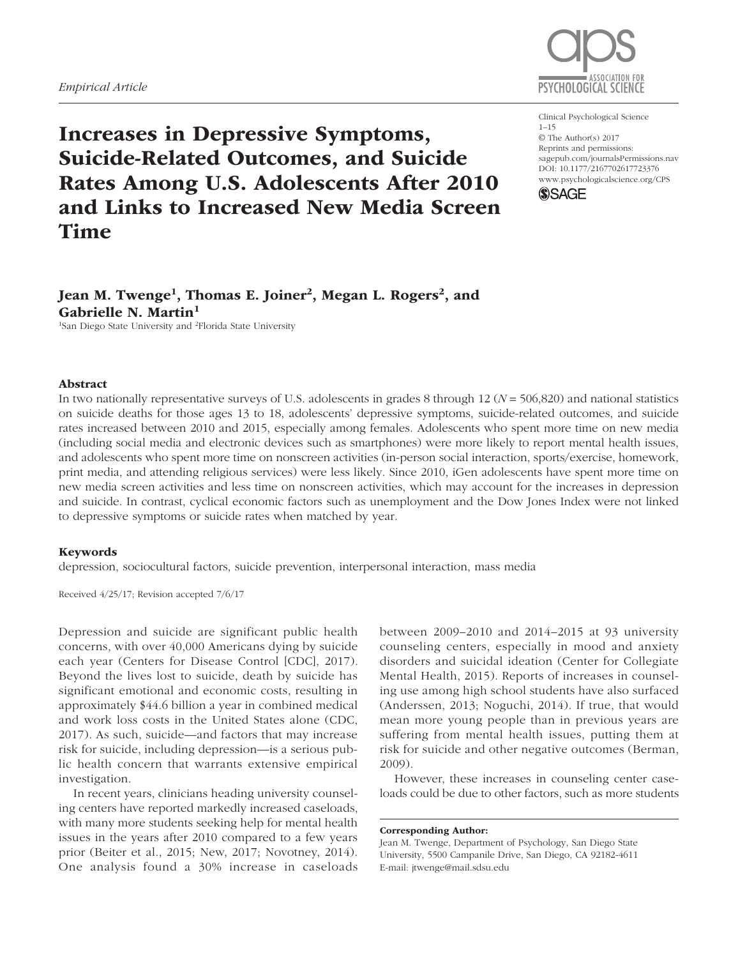## *Empirical Article*



Increases in Depressive Symptoms, Suicide-Related Outcomes, and Suicide Rates Among U.S. Adolescents After 2010 and Links to Increased New Media Screen Time

#### https://doi.org/10.1177/2167702617723376 DOI: 10.1177/2167702617723376 Clinical Psychological Science 1–15 © The Author(s) 2017 Reprints and permissions: [sagepub.com/journalsPermissions.nav](http://sagepub.com/journalsPermissions.nav) [www.psychologicalscience.org/](http://www.psychologicalscience.org/cps)CPS



# Jean M. Twenge<sup>1</sup>, Thomas E. Joiner<sup>2</sup>, Megan L. Rogers<sup>2</sup>, and Gabrielle N. Martin<sup>1</sup>

<sup>1</sup>San Diego State University and <sup>2</sup>Florida State University

### Abstract

In two nationally representative surveys of U.S. adolescents in grades 8 through 12 (*N* = 506,820) and national statistics on suicide deaths for those ages 13 to 18, adolescents' depressive symptoms, suicide-related outcomes, and suicide rates increased between 2010 and 2015, especially among females. Adolescents who spent more time on new media (including social media and electronic devices such as smartphones) were more likely to report mental health issues, and adolescents who spent more time on nonscreen activities (in-person social interaction, sports/exercise, homework, print media, and attending religious services) were less likely. Since 2010, iGen adolescents have spent more time on new media screen activities and less time on nonscreen activities, which may account for the increases in depression and suicide. In contrast, cyclical economic factors such as unemployment and the Dow Jones Index were not linked to depressive symptoms or suicide rates when matched by year.

### Keywords

depression, sociocultural factors, suicide prevention, interpersonal interaction, mass media

Received 4/25/17; Revision accepted 7/6/17

Depression and suicide are significant public health concerns, with over 40,000 Americans dying by suicide each year (Centers for Disease Control [CDC], 2017). Beyond the lives lost to suicide, death by suicide has significant emotional and economic costs, resulting in approximately \$44.6 billion a year in combined medical and work loss costs in the United States alone (CDC, 2017). As such, suicide—and factors that may increase risk for suicide, including depression—is a serious public health concern that warrants extensive empirical investigation.

In recent years, clinicians heading university counseling centers have reported markedly increased caseloads, with many more students seeking help for mental health issues in the years after 2010 compared to a few years prior (Beiter et al., 2015; New, 2017; Novotney, 2014). One analysis found a 30% increase in caseloads

between 2009–2010 and 2014–2015 at 93 university counseling centers, especially in mood and anxiety disorders and suicidal ideation (Center for Collegiate Mental Health, 2015). Reports of increases in counseling use among high school students have also surfaced (Anderssen, 2013; Noguchi, 2014). If true, that would mean more young people than in previous years are suffering from mental health issues, putting them at risk for suicide and other negative outcomes (Berman, 2009).

However, these increases in counseling center caseloads could be due to other factors, such as more students

Corresponding Author:

Jean M. Twenge, Department of Psychology, San Diego State University, 5500 Campanile Drive, San Diego, CA 92182-4611 E-mail: [jtwenge@mail.sdsu.edu](mailto:jtwenge@mail.sdsu.edu)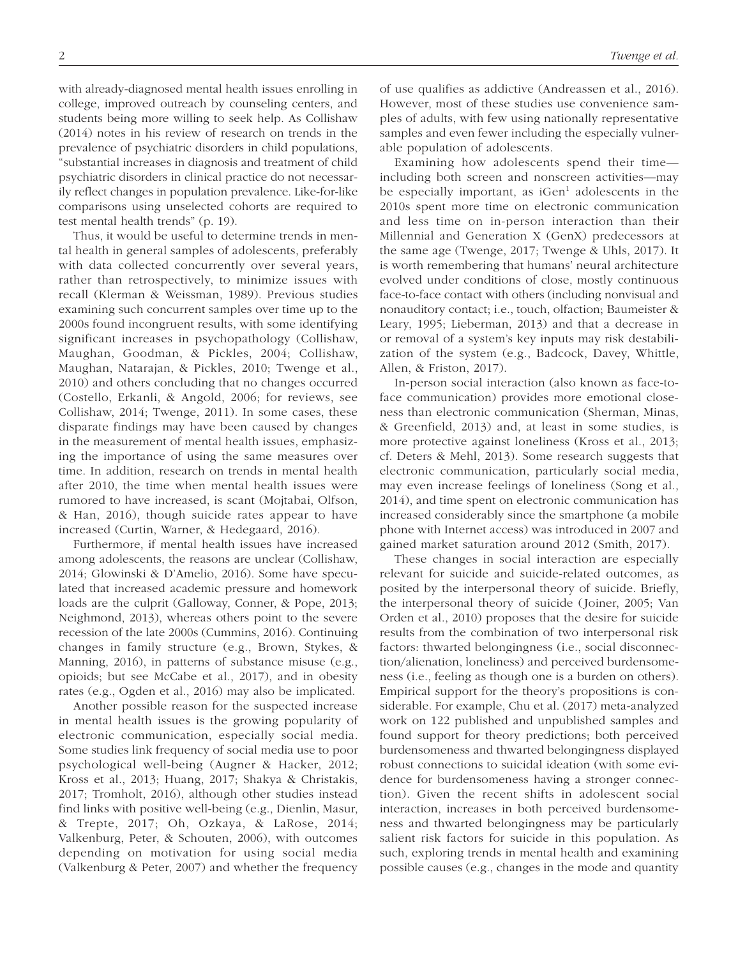with already-diagnosed mental health issues enrolling in college, improved outreach by counseling centers, and students being more willing to seek help. As Collishaw (2014) notes in his review of research on trends in the prevalence of psychiatric disorders in child populations, "substantial increases in diagnosis and treatment of child psychiatric disorders in clinical practice do not necessarily reflect changes in population prevalence. Like-for-like comparisons using unselected cohorts are required to test mental health trends" (p. 19).

Thus, it would be useful to determine trends in mental health in general samples of adolescents, preferably with data collected concurrently over several years, rather than retrospectively, to minimize issues with recall (Klerman & Weissman, 1989). Previous studies examining such concurrent samples over time up to the 2000s found incongruent results, with some identifying significant increases in psychopathology (Collishaw, Maughan, Goodman, & Pickles, 2004; Collishaw, Maughan, Natarajan, & Pickles, 2010; Twenge et al., 2010) and others concluding that no changes occurred (Costello, Erkanli, & Angold, 2006; for reviews, see Collishaw, 2014; Twenge, 2011). In some cases, these disparate findings may have been caused by changes in the measurement of mental health issues, emphasizing the importance of using the same measures over time. In addition, research on trends in mental health after 2010, the time when mental health issues were rumored to have increased, is scant (Mojtabai, Olfson, & Han, 2016), though suicide rates appear to have increased (Curtin, Warner, & Hedegaard, 2016).

Furthermore, if mental health issues have increased among adolescents, the reasons are unclear (Collishaw, 2014; Glowinski & D'Amelio, 2016). Some have speculated that increased academic pressure and homework loads are the culprit (Galloway, Conner, & Pope, 2013; Neighmond, 2013), whereas others point to the severe recession of the late 2000s (Cummins, 2016). Continuing changes in family structure (e.g., Brown, Stykes, & Manning, 2016), in patterns of substance misuse (e.g., opioids; but see McCabe et al., 2017), and in obesity rates (e.g., Ogden et al., 2016) may also be implicated.

Another possible reason for the suspected increase in mental health issues is the growing popularity of electronic communication, especially social media. Some studies link frequency of social media use to poor psychological well-being (Augner & Hacker, 2012; Kross et al., 2013; Huang, 2017; Shakya & Christakis, 2017; Tromholt, 2016), although other studies instead find links with positive well-being (e.g., Dienlin, Masur, & Trepte, 2017; Oh, Ozkaya, & LaRose, 2014; Valkenburg, Peter, & Schouten, 2006), with outcomes depending on motivation for using social media (Valkenburg & Peter, 2007) and whether the frequency of use qualifies as addictive (Andreassen et al., 2016). However, most of these studies use convenience samples of adults, with few using nationally representative samples and even fewer including the especially vulnerable population of adolescents.

Examining how adolescents spend their time including both screen and nonscreen activities—may be especially important, as  $iGen<sup>1</sup>$  adolescents in the 2010s spent more time on electronic communication and less time on in-person interaction than their Millennial and Generation X (GenX) predecessors at the same age (Twenge, 2017; Twenge & Uhls, 2017). It is worth remembering that humans' neural architecture evolved under conditions of close, mostly continuous face-to-face contact with others (including nonvisual and nonauditory contact; i.e., touch, olfaction; Baumeister & Leary, 1995; Lieberman, 2013) and that a decrease in or removal of a system's key inputs may risk destabilization of the system (e.g., Badcock, Davey, Whittle, Allen, & Friston, 2017).

In-person social interaction (also known as face-toface communication) provides more emotional closeness than electronic communication (Sherman, Minas, & Greenfield, 2013) and, at least in some studies, is more protective against loneliness (Kross et al., 2013; cf. Deters & Mehl, 2013). Some research suggests that electronic communication, particularly social media, may even increase feelings of loneliness (Song et al., 2014), and time spent on electronic communication has increased considerably since the smartphone (a mobile phone with Internet access) was introduced in 2007 and gained market saturation around 2012 (Smith, 2017).

These changes in social interaction are especially relevant for suicide and suicide-related outcomes, as posited by the interpersonal theory of suicide. Briefly, the interpersonal theory of suicide (Joiner, 2005; Van Orden et al., 2010) proposes that the desire for suicide results from the combination of two interpersonal risk factors: thwarted belongingness (i.e., social disconnection/alienation, loneliness) and perceived burdensomeness (i.e., feeling as though one is a burden on others). Empirical support for the theory's propositions is considerable. For example, Chu et al. (2017) meta-analyzed work on 122 published and unpublished samples and found support for theory predictions; both perceived burdensomeness and thwarted belongingness displayed robust connections to suicidal ideation (with some evidence for burdensomeness having a stronger connection). Given the recent shifts in adolescent social interaction, increases in both perceived burdensomeness and thwarted belongingness may be particularly salient risk factors for suicide in this population. As such, exploring trends in mental health and examining possible causes (e.g., changes in the mode and quantity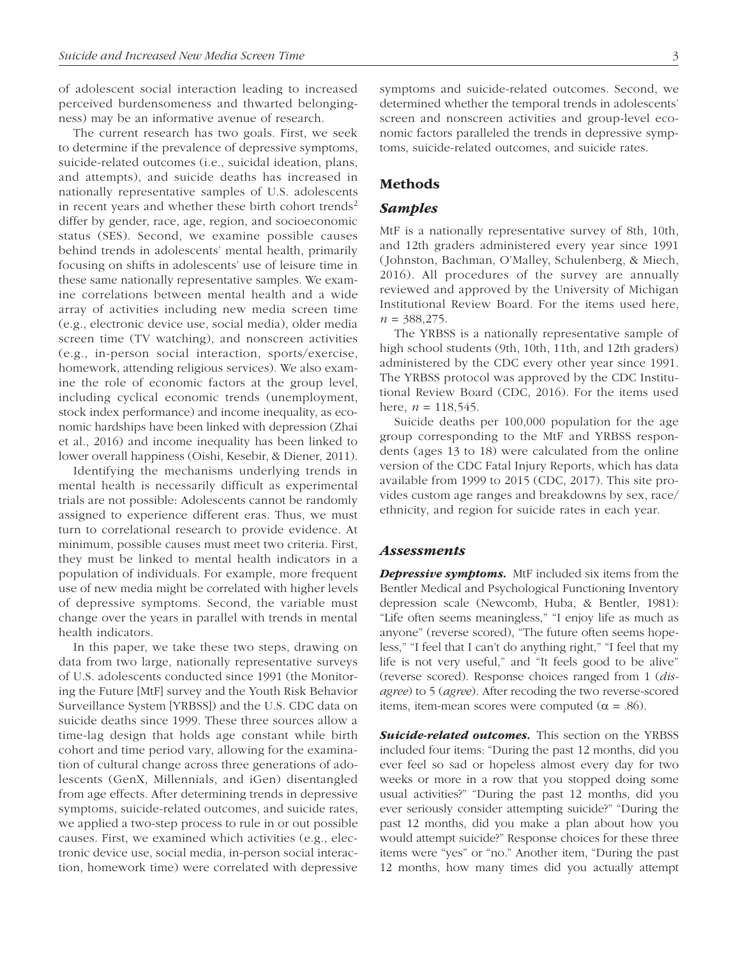of adolescent social interaction leading to increased perceived burdensomeness and thwarted belongingness) may be an informative avenue of research.

The current research has two goals. First, we seek to determine if the prevalence of depressive symptoms, suicide-related outcomes (i.e., suicidal ideation, plans, and attempts), and suicide deaths has increased in nationally representative samples of U.S. adolescents in recent years and whether these birth cohort trends<sup>2</sup> differ by gender, race, age, region, and socioeconomic status (SES). Second, we examine possible causes behind trends in adolescents' mental health, primarily focusing on shifts in adolescents' use of leisure time in these same nationally representative samples. We examine correlations between mental health and a wide array of activities including new media screen time (e.g., electronic device use, social media), older media screen time (TV watching), and nonscreen activities (e.g., in-person social interaction, sports/exercise, homework, attending religious services). We also examine the role of economic factors at the group level, including cyclical economic trends (unemployment, stock index performance) and income inequality, as economic hardships have been linked with depression (Zhai et al., 2016) and income inequality has been linked to lower overall happiness (Oishi, Kesebir, & Diener, 2011).

Identifying the mechanisms underlying trends in mental health is necessarily difficult as experimental trials are not possible: Adolescents cannot be randomly assigned to experience different eras. Thus, we must turn to correlational research to provide evidence. At minimum, possible causes must meet two criteria. First, they must be linked to mental health indicators in a population of individuals. For example, more frequent use of new media might be correlated with higher levels of depressive symptoms. Second, the variable must change over the years in parallel with trends in mental health indicators.

In this paper, we take these two steps, drawing on data from two large, nationally representative surveys of U.S. adolescents conducted since 1991 (the Monitoring the Future [MtF] survey and the Youth Risk Behavior Surveillance System [YRBSS]) and the U.S. CDC data on suicide deaths since 1999. These three sources allow a time-lag design that holds age constant while birth cohort and time period vary, allowing for the examination of cultural change across three generations of adolescents (GenX, Millennials, and iGen) disentangled from age effects. After determining trends in depressive symptoms, suicide-related outcomes, and suicide rates, we applied a two-step process to rule in or out possible causes. First, we examined which activities (e.g., electronic device use, social media, in-person social interaction, homework time) were correlated with depressive

symptoms and suicide-related outcomes. Second, we determined whether the temporal trends in adolescents' screen and nonscreen activities and group-level economic factors paralleled the trends in depressive symptoms, suicide-related outcomes, and suicide rates.

## Methods

## *Samples*

MtF is a nationally representative survey of 8th, 10th, and 12th graders administered every year since 1991 (Johnston, Bachman, O'Malley, Schulenberg, & Miech, 2016). All procedures of the survey are annually reviewed and approved by the University of Michigan Institutional Review Board. For the items used here, *n* = 388,275.

The YRBSS is a nationally representative sample of high school students (9th, 10th, 11th, and 12th graders) administered by the CDC every other year since 1991. The YRBSS protocol was approved by the CDC Institutional Review Board (CDC, 2016). For the items used here,  $n = 118,545$ .

Suicide deaths per 100,000 population for the age group corresponding to the MtF and YRBSS respondents (ages 13 to 18) were calculated from the online version of the CDC Fatal Injury Reports, which has data available from 1999 to 2015 (CDC, 2017). This site provides custom age ranges and breakdowns by sex, race/ ethnicity, and region for suicide rates in each year.

### *Assessments*

**Depressive symptoms.** MtF included six items from the Bentler Medical and Psychological Functioning Inventory depression scale (Newcomb, Huba, & Bentler, 1981): "Life often seems meaningless," "I enjoy life as much as anyone" (reverse scored), "The future often seems hopeless," "I feel that I can't do anything right," "I feel that my life is not very useful," and "It feels good to be alive" (reverse scored). Response choices ranged from 1 (*disagree*) to 5 (*agree*). After recoding the two reverse-scored items, item-mean scores were computed ( $\alpha = .86$ ).

**Suicide-related outcomes.** This section on the YRBSS included four items: "During the past 12 months, did you ever feel so sad or hopeless almost every day for two weeks or more in a row that you stopped doing some usual activities?" "During the past 12 months, did you ever seriously consider attempting suicide?" "During the past 12 months, did you make a plan about how you would attempt suicide?" Response choices for these three items were "yes" or "no." Another item, "During the past 12 months, how many times did you actually attempt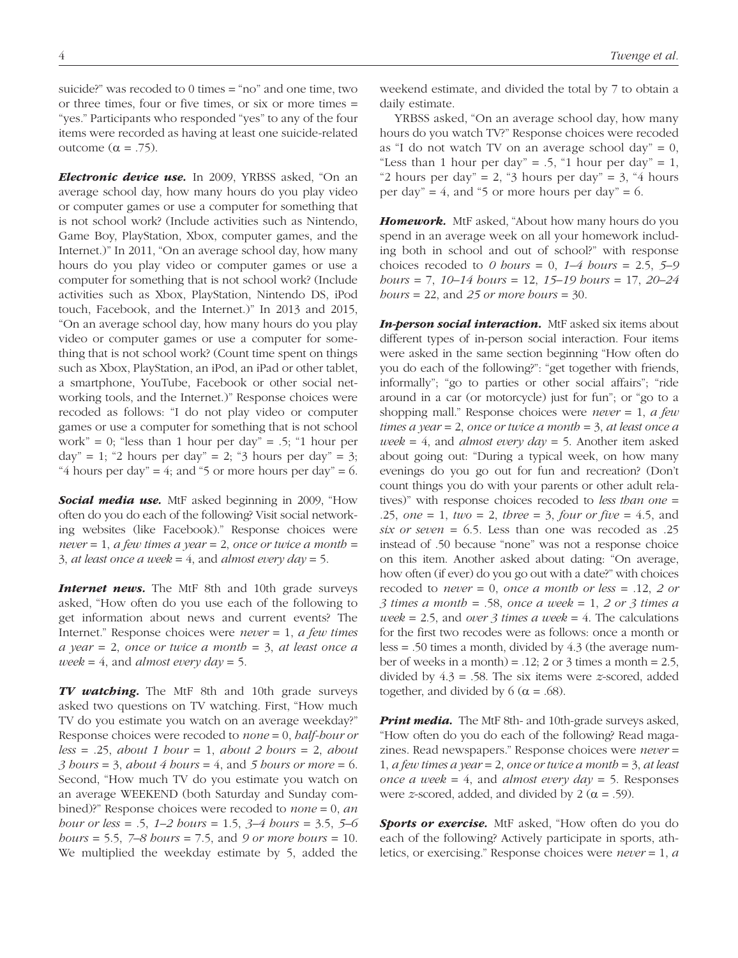suicide?" was recoded to 0 times = "no" and one time, two or three times, four or five times, or six or more times = "yes." Participants who responded "yes" to any of the four items were recorded as having at least one suicide-related outcome (α = .75).

*Electronic device use.* In 2009, YRBSS asked, "On an average school day, how many hours do you play video or computer games or use a computer for something that is not school work? (Include activities such as Nintendo, Game Boy, PlayStation, Xbox, computer games, and the Internet.)" In 2011, "On an average school day, how many hours do you play video or computer games or use a computer for something that is not school work? (Include activities such as Xbox, PlayStation, Nintendo DS, iPod touch, Facebook, and the Internet.)" In 2013 and 2015, "On an average school day, how many hours do you play video or computer games or use a computer for something that is not school work? (Count time spent on things such as Xbox, PlayStation, an iPod, an iPad or other tablet, a smartphone, YouTube, Facebook or other social networking tools, and the Internet.)" Response choices were recoded as follows: "I do not play video or computer games or use a computer for something that is not school work" = 0; "less than 1 hour per day" = .5; "1 hour per  $day'' = 1$ ; "2 hours per day" = 2; "3 hours per day" = 3; "4 hours per day" = 4; and "5 or more hours per day" = 6.

*Social media use.* MtF asked beginning in 2009, "How often do you do each of the following? Visit social networking websites (like Facebook)." Response choices were *never* = 1, *a few times a year* = 2, *once or twice a month* = 3, *at least once a week* = 4, and *almost every day* = 5.

**Internet news.** The MtF 8th and 10th grade surveys asked, "How often do you use each of the following to get information about news and current events? The Internet." Response choices were *never* = 1, *a few times a year* = 2, *once or twice a month* = 3, *at least once a week* = 4, and *almost every day* = 5.

*TV watching.* The MtF 8th and 10th grade surveys asked two questions on TV watching. First, "How much TV do you estimate you watch on an average weekday?" Response choices were recoded to *none* = 0, *half-hour or less* = .25, *about 1 hour* = 1, *about 2 hours* = 2, *about 3 hours* = 3, *about 4 hours* = 4, and *5 hours or more* = 6. Second, "How much TV do you estimate you watch on an average WEEKEND (both Saturday and Sunday combined)?" Response choices were recoded to *none* = 0, *an hour or less* = .5, *1–2 hours* = 1.5, *3–4 hours* = 3.5, *5–6 hours* = 5.5, *7–8 hours* = 7.5, and *9 or more hours* = 10. We multiplied the weekday estimate by 5, added the

weekend estimate, and divided the total by 7 to obtain a daily estimate.

YRBSS asked, "On an average school day, how many hours do you watch TV?" Response choices were recoded as "I do not watch TV on an average school day" =  $0$ , "Less than 1 hour per day" = .5, "1 hour per day" = 1, "2 hours per day" = 2, "3 hours per day" = 3, "4 hours per day" = 4, and "5 or more hours per day" =  $6$ .

*Homework.* MtF asked, "About how many hours do you spend in an average week on all your homework including both in school and out of school?" with response choices recoded to *0 hours* = 0, *1–4 hours* = 2.5, *5–9 hours* = 7, *10–14 hours* = 12, *15–19 hours* = 17, *20–24 hours* = 22, and *25 or more hours* = 30.

**In-person social interaction.** MtF asked six items about different types of in-person social interaction. Four items were asked in the same section beginning "How often do you do each of the following?": "get together with friends, informally"; "go to parties or other social affairs"; "ride around in a car (or motorcycle) just for fun"; or "go to a shopping mall." Response choices were *never* = 1, *a few times a year* = 2, *once or twice a month* = 3, *at least once a week* = 4, and *almost every day* = 5. Another item asked about going out: "During a typical week, on how many evenings do you go out for fun and recreation? (Don't count things you do with your parents or other adult relatives)" with response choices recoded to *less than one* = .25, *one* = 1, *two* = 2, *three* = 3, *four or five* = 4.5, and *six or seven* = 6.5. Less than one was recoded as .25 instead of .50 because "none" was not a response choice on this item. Another asked about dating: "On average, how often (if ever) do you go out with a date?" with choices recoded to *never* = 0, *once a month or less* = .12, *2 or 3 times a month* = .58, *once a week* = 1, *2 or 3 times a week* = 2.5, and *over 3 times a week* = 4. The calculations for the first two recodes were as follows: once a month or less = .50 times a month, divided by 4.3 (the average number of weeks in a month) =  $.12$ ; 2 or 3 times a month =  $2.5$ , divided by 4.3 = .58. The six items were *z*-scored, added together, and divided by 6 ( $\alpha$  = .68).

*Print media.* The MtF 8th- and 10th-grade surveys asked, "How often do you do each of the following? Read magazines. Read newspapers." Response choices were *never* = 1, *a few times a year* = 2, *once or twice a month* = 3, *at least once a week* = 4, and *almost every day* = 5. Responses were *z*-scored, added, and divided by 2 ( $\alpha$  = .59).

**Sports or exercise.** MtF asked, "How often do you do each of the following? Actively participate in sports, athletics, or exercising." Response choices were *never* = 1, *a*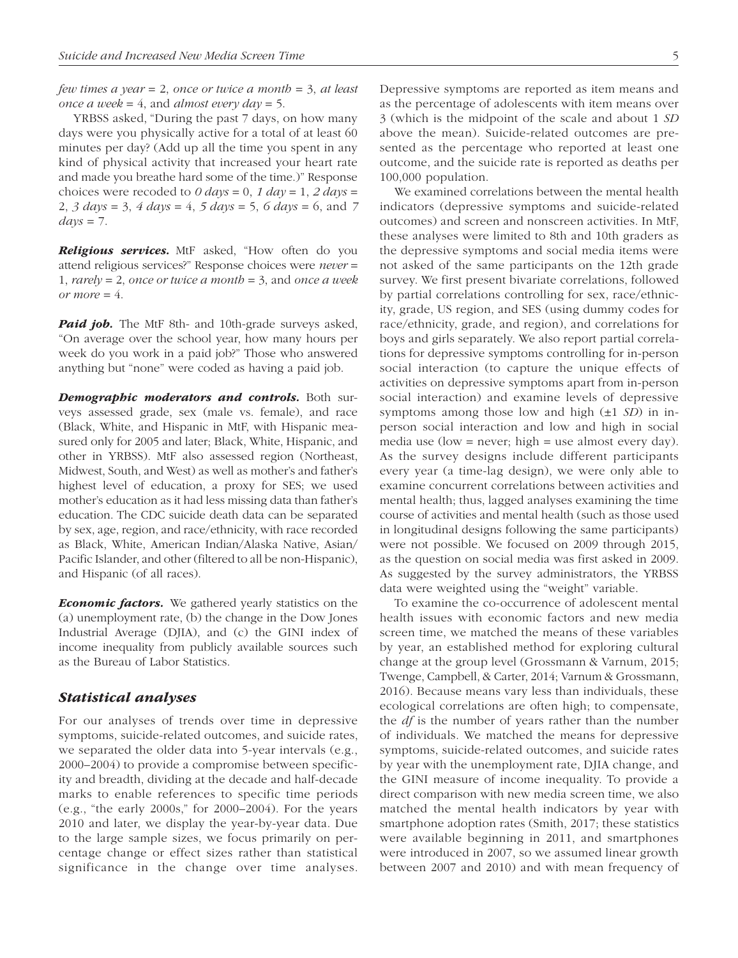*few times a year* = 2, *once or twice a month* = 3, *at least once a week* = 4, and *almost every day* = 5.

YRBSS asked, "During the past 7 days, on how many days were you physically active for a total of at least 60 minutes per day? (Add up all the time you spent in any kind of physical activity that increased your heart rate and made you breathe hard some of the time.)" Response choices were recoded to  $0 \text{ days} = 0$ ,  $1 \text{ day} = 1$ ,  $2 \text{ days} = 1$ 2, *3 days* = 3, *4 days* = 4, *5 days* = 5, *6 days* = 6, and *7*   $days = 7$ .

*Religious services.* MtF asked, "How often do you attend religious services?" Response choices were *never* = 1, *rarely* = 2, *once or twice a month* = 3, and *once a week or more* =  $4$ .

**Paid job.** The MtF 8th- and 10th-grade surveys asked, "On average over the school year, how many hours per week do you work in a paid job?" Those who answered anything but "none" were coded as having a paid job.

*Demographic moderators and controls.* Both surveys assessed grade, sex (male vs. female), and race (Black, White, and Hispanic in MtF, with Hispanic measured only for 2005 and later; Black, White, Hispanic, and other in YRBSS). MtF also assessed region (Northeast, Midwest, South, and West) as well as mother's and father's highest level of education, a proxy for SES; we used mother's education as it had less missing data than father's education. The CDC suicide death data can be separated by sex, age, region, and race/ethnicity, with race recorded as Black, White, American Indian/Alaska Native, Asian/ Pacific Islander, and other (filtered to all be non-Hispanic), and Hispanic (of all races).

*Economic factors.* We gathered yearly statistics on the (a) unemployment rate, (b) the change in the Dow Jones Industrial Average (DJIA), and (c) the GINI index of income inequality from publicly available sources such as the Bureau of Labor Statistics.

### *Statistical analyses*

For our analyses of trends over time in depressive symptoms, suicide-related outcomes, and suicide rates, we separated the older data into 5-year intervals (e.g., 2000–2004) to provide a compromise between specificity and breadth, dividing at the decade and half-decade marks to enable references to specific time periods (e.g., "the early 2000s," for 2000–2004). For the years 2010 and later, we display the year-by-year data. Due to the large sample sizes, we focus primarily on percentage change or effect sizes rather than statistical significance in the change over time analyses. Depressive symptoms are reported as item means and as the percentage of adolescents with item means over 3 (which is the midpoint of the scale and about 1 *SD* above the mean). Suicide-related outcomes are presented as the percentage who reported at least one outcome, and the suicide rate is reported as deaths per 100,000 population.

We examined correlations between the mental health indicators (depressive symptoms and suicide-related outcomes) and screen and nonscreen activities. In MtF, these analyses were limited to 8th and 10th graders as the depressive symptoms and social media items were not asked of the same participants on the 12th grade survey. We first present bivariate correlations, followed by partial correlations controlling for sex, race/ethnicity, grade, US region, and SES (using dummy codes for race/ethnicity, grade, and region), and correlations for boys and girls separately. We also report partial correlations for depressive symptoms controlling for in-person social interaction (to capture the unique effects of activities on depressive symptoms apart from in-person social interaction) and examine levels of depressive symptoms among those low and high (±1 *SD*) in inperson social interaction and low and high in social media use (low = never; high = use almost every day). As the survey designs include different participants every year (a time-lag design), we were only able to examine concurrent correlations between activities and mental health; thus, lagged analyses examining the time course of activities and mental health (such as those used in longitudinal designs following the same participants) were not possible. We focused on 2009 through 2015, as the question on social media was first asked in 2009. As suggested by the survey administrators, the YRBSS data were weighted using the "weight" variable.

To examine the co-occurrence of adolescent mental health issues with economic factors and new media screen time, we matched the means of these variables by year, an established method for exploring cultural change at the group level (Grossmann & Varnum, 2015; Twenge, Campbell, & Carter, 2014; Varnum & Grossmann, 2016). Because means vary less than individuals, these ecological correlations are often high; to compensate, the *df* is the number of years rather than the number of individuals. We matched the means for depressive symptoms, suicide-related outcomes, and suicide rates by year with the unemployment rate, DJIA change, and the GINI measure of income inequality. To provide a direct comparison with new media screen time, we also matched the mental health indicators by year with smartphone adoption rates (Smith, 2017; these statistics were available beginning in 2011, and smartphones were introduced in 2007, so we assumed linear growth between 2007 and 2010) and with mean frequency of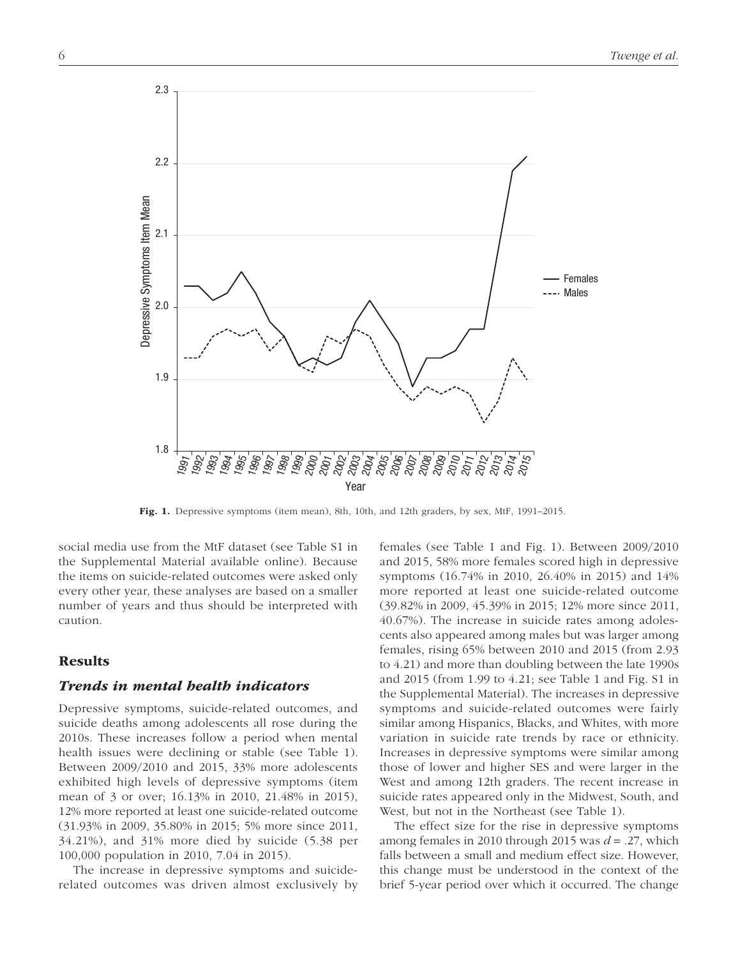

Fig. 1. Depressive symptoms (item mean), 8th, 10th, and 12th graders, by sex, MtF, 1991–2015.

social media use from the MtF dataset (see Table S1 in the [Supplemental Material](http://journals.sagepub.com/doi/suppl/10.1177/2167702617723376) available online). Because the items on suicide-related outcomes were asked only every other year, these analyses are based on a smaller number of years and thus should be interpreted with caution.

## Results

## *Trends in mental health indicators*

Depressive symptoms, suicide-related outcomes, and suicide deaths among adolescents all rose during the 2010s. These increases follow a period when mental health issues were declining or stable (see Table 1). Between 2009/2010 and 2015, 33% more adolescents exhibited high levels of depressive symptoms (item mean of 3 or over; 16.13% in 2010, 21.48% in 2015), 12% more reported at least one suicide-related outcome (31.93% in 2009, 35.80% in 2015; 5% more since 2011, 34.21%), and 31% more died by suicide (5.38 per 100,000 population in 2010, 7.04 in 2015).

The increase in depressive symptoms and suiciderelated outcomes was driven almost exclusively by females (see Table 1 and Fig. 1). Between 2009/2010 and 2015, 58% more females scored high in depressive symptoms (16.74% in 2010, 26.40% in 2015) and 14% more reported at least one suicide-related outcome (39.82% in 2009, 45.39% in 2015; 12% more since 2011, 40.67%). The increase in suicide rates among adolescents also appeared among males but was larger among females, rising 65% between 2010 and 2015 (from 2.93 to 4.21) and more than doubling between the late 1990s and 2015 (from 1.99 to 4.21; see Table 1 and Fig. S1 in the [Supplemental Material](http://journals.sagepub.com/doi/suppl/10.1177/2167702617723376)). The increases in depressive symptoms and suicide-related outcomes were fairly similar among Hispanics, Blacks, and Whites, with more variation in suicide rate trends by race or ethnicity. Increases in depressive symptoms were similar among those of lower and higher SES and were larger in the West and among 12th graders. The recent increase in suicide rates appeared only in the Midwest, South, and West, but not in the Northeast (see Table 1).

The effect size for the rise in depressive symptoms among females in 2010 through 2015 was *d* = .27, which falls between a small and medium effect size. However, this change must be understood in the context of the brief 5-year period over which it occurred. The change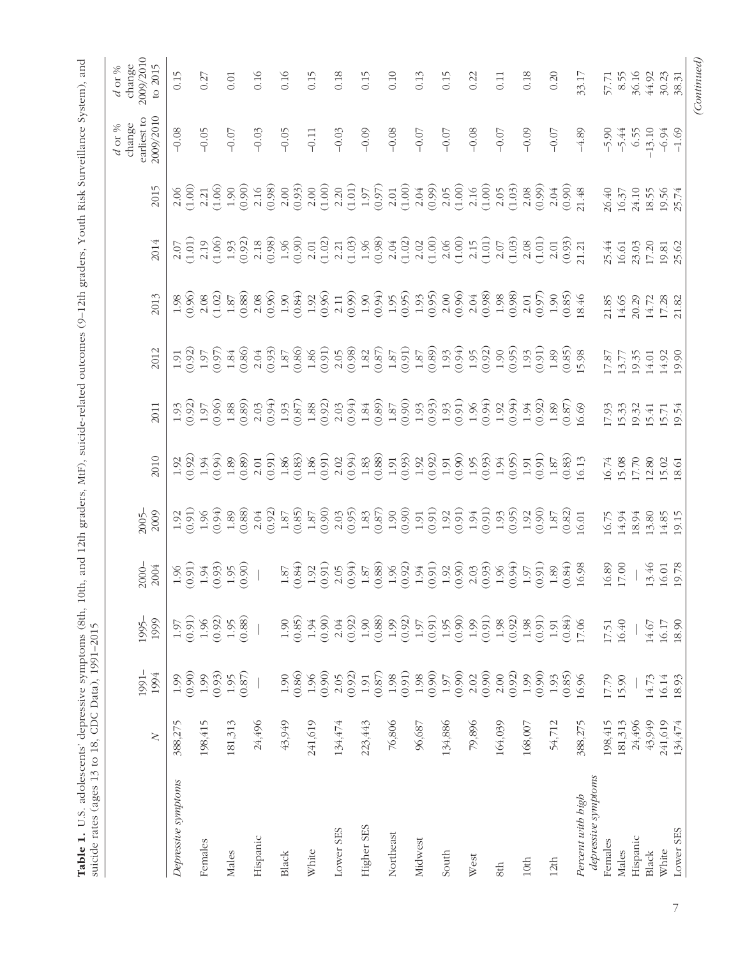| to 2015<br>0.15<br>0.16<br>0.10<br>0.16<br>0.15<br>0.18<br>0.15<br>0.13<br>0.15<br>0.22<br>0.18<br>0.20<br>33.17<br>8.55<br>36.16<br>44.92<br>30.23<br>0.27<br>0.11<br>0.01<br>57.71<br>38.31<br>2009/2010<br>$-0.08$<br>$-0.05$<br>$-0.08$<br>$-0.05$<br>$-0.03$<br>$-0.09$<br>$-0.07$<br>$-0.08$<br>$-0.07$<br>$-0.09$<br>$-4.89$<br>$-5.90$<br>6.55<br>$-13.10$<br>$-1.69$<br>$-0.07$<br>$-0.03$<br>$-0.07$<br>$-5.44$<br>$-0.11$<br>$-0.07$<br>$-6.94$<br>(0.99)<br>$(1.00)$<br>(0.90)<br>$2.00$<br>$(0.93)$<br>(1.00)<br>(1.01)<br>(0.97)<br>(1.00)<br>$2.16$<br>(1.00)<br>(0.99)<br>2015<br>(1.00)<br>(1.06)<br>(0.98)<br>(1.03)<br>(0.90)<br>$2.00\,$<br>2.20<br>2.05<br>2.21<br>2.16<br>$2.01\,$<br>2.04<br>2.05<br>$2.08$<br>2.06<br>$1.97\,$<br>2.04<br>21.48<br>26.40<br>24.10<br>18.55<br>$16.37\,$<br>19.56<br>25.74<br>$\begin{array}{l} (1.06) \\ 1.93 \\ (0.92) \\ 2.18 \\ (0.98) \\ (0.90) \\ (0.90) \\ (0.90) \\ (0.90) \\ (0.90) \\ (0.90) \\ (0.90) \\ (0.90) \\ (0.90) \\ (0.90) \\ (0.90) \\ (0.90) \\ (0.90) \\ (0.90) \\ (0.90) \\ (0.90) \\ (0.90) \\ (0.90) \\ (0.90) \\ (0.90) \\ (0.90) \\ (0.90) \\ (0.90) \\ (0.90) \\ (0.90) \\ (0.90$<br>$\begin{array}{c} (1.02) \\ 2.21 \\ 1.03) \\ (1.09) \\ (0.98) \\ (1.02) \\ (1.02) \\ \end{array}$<br>$\begin{array}{c} 2.02 \\ 1.00 \\ 2.06 \\ 1.00 \end{array}$<br>(1.01)<br>(1.03)<br>(1.01)<br>(0.93)<br>2.15<br>$2.01\,$<br>2.08<br>2014<br>(1.01)<br>2.19<br>$2.07\,$<br>2.01<br>19.81<br>25.62<br>$2.07\,$<br>21.21<br>25.44<br>23.03<br>17.20<br>16.61<br>$2.00$<br>(0.96)<br>$\begin{array}{c} 1.87 \\ 0.88 \\ 2.08 \\ 0.96 \end{array}$<br>$2.04$<br>(0.98)<br>$\frac{1.98}{(0.98)}$<br>$\frac{2.01}{(0.97)}$<br>(0.85)<br>(0.96)<br>$2.08$<br>(1.02)<br>$1.90\,$<br>2013<br>18.46<br>1.98<br>14.65<br>20.29<br>21.85<br>14.72<br>17.28<br>21.82<br>(0.98)<br>$\begin{array}{c} 1.87 \\ 0.89) \\ 1.93 \\ 0.04 \end{array}$<br>$\begin{array}{c} 1.84 \\ 0.86 \end{array}$<br>(0.93)<br>$\begin{array}{c} 1.87 \\ 0.86 \end{array}$<br>(0.91)<br>$\begin{array}{c} 1.82 \\ 0.87) \\ 1.87 \\ 0.91) \end{array}$<br>$1.95$<br>(0.92)<br>$1.90$<br>(0.95)<br>(0.93)<br>(0.85)<br>2012<br>(0.97)<br>$2.04$<br>$1.86\,$<br>2.05<br>(0.92)<br>$1.89\,$<br>15.98<br>19.35<br>19.90<br>17.87<br>14.92<br>1.91<br>14.01<br>13.77<br>$\begin{array}{c} 1.88 \\ 0.89 \end{array}$<br>$\begin{array}{l} 39 \overline{3} & 39 \overline{3} & 39 \overline{3} & 39 \overline{3} & 39 \overline{3} & 39 \overline{3} & 39 \overline{3} & 39 \overline{3} \\ 10 & 19 \overline{3} & 19 \overline{3} & 19 \overline{3} & 19 \overline{3} & 19 \overline{3} & 19 \overline{3} \\ 11 & 19 \overline{3} & 19 \overline{3} & 19 \overline{3} & 19 \overline{3} & 19 \overline{3} & 19 \overline{3} \\ 13 & $<br>$1.92$<br>(0.94)<br>$1.94$<br>(0.92)<br>(0.96)<br>$(0.87)$<br>16.69<br>$1.93$<br>$(0.92)$<br>$1.89\,$<br>2011<br>15.33<br>1.97<br>17.93<br>19.32<br>15.41<br>15.71<br>19.54<br>$\begin{array}{l} 1000 \\ 11000 \\ 12000 \\ 13000 \\ 14000 \\ 15000 \\ 16000 \\ 16000 \\ 16000 \\ 16000 \\ 16000 \\ 16000 \\ 16000 \\ 16000 \\ 16000 \\ 16000 \\ 16000 \\ 16000 \\ 16000 \\ 16000 \\ 16000 \\ 16000 \\ 16000 \\ 16000 \\ 16000 \\ 16000 \\ 16000 \\ 16000 \\ 16000 \\ 16000 \\ 160$<br>$\begin{array}{c} 1.94 \\ 0.94 \\ 1.89 \\ 0.89 \end{array}$<br>$\begin{array}{c} 1.91 \\[-4pt] 0.91) \\[-4pt] 1.87 \end{array}$<br>$\frac{(0.83)}{16.13}$<br>2010<br>(0.92)<br>16.74<br>15.08<br>17.70<br>12.80<br>1.92<br>15.02<br>18.61<br>$\frac{1.89}{(0.88)}$<br>(0.92)<br>(0.85)<br>(0.90)<br>(0.95)<br>$\begin{array}{c} 1.83 \\ 0.87 \end{array}$<br>(0.91)<br>(9.94)<br>$1.90$<br>(0.90)<br>(0.91)<br>$1.94$<br>(0.91)<br>$\frac{1.93}{(0.95)}$<br>$1.92$<br>(0.90)<br>(0.82)<br>(0.91)<br>2009<br>$2.03$<br>$1.92\,$<br>$1.96\,$<br>$2.04$<br>$1.87\,$<br>1.92<br>$1.87\,$<br>$1.87\,$<br>16.75<br>16.01<br>14.94<br>18.94<br>13.80<br>19.15<br>14.85<br>$1.96$<br>(0.92)<br>$\begin{array}{c} 1.94 \\ 0.91) \\ 1.92 \\ 0.90 \end{array}$<br>$\frac{2.03}{(0.93)}$<br>$1.95$<br>(0.90)<br>(0.94)<br>$\begin{array}{c} 1.87 \\ 0.88 \end{array}$<br>$1.96$<br>(0.94)<br>$1.97$ $(0.91)$<br>(0.84)<br>16.89<br>$17.00\,$<br>13.46<br>19.78<br>(0.91)<br>(0.93)<br>$\begin{array}{c} 1.87 \\ 0.84) \\ 1.92 \\ 0.91) \end{array}$<br>16.98<br>$1.89\,$<br>16.01<br>2004<br>2.05<br>1.96<br>$1.94\,$<br>(0.91)<br>(0.84)<br>(0.90)<br>(0.92)<br>(0.88)<br>(0.91)<br>(0.90)<br>(0.91)<br>(0.92)<br>(0.88)<br>(0.85)<br>(0.92)<br>(0.92)<br>(0.91)<br>1999<br>1.99<br>$1.96\,$<br>2.04<br>$1.90\,$<br>$1.95$<br>1.99<br>$1.98\,$<br>1.98<br>1.95<br>$1.90\,$<br>1.94<br>16.40<br>1.91<br>17.06<br>18.90<br>1.97<br>$1.97\,$<br>17.51<br>16.17<br>14.67<br>(0.86)<br>(0.90)<br>(0.90)<br>(0.93)<br>(0.90)<br>(0.92)<br>(0.87)<br>(0.91)<br>(0.90)<br>(0.90)<br>(0.90)<br>$(0.87)$<br>(0.92)<br>(0.85)<br>1994<br>1.96<br>2.05<br>$1.98\,$<br>1.98<br>$1.97\,$<br>2.02<br>2.00<br>1.99<br>1.99<br>$1.90\,$<br>1.93<br>$1.99\,$<br>1.95<br>$1.91\,$<br>16.96<br>17.79<br>15.90<br>14.73<br>16.14<br>18.93<br>76,806<br>79,896<br>54,712<br>198,415<br>43,949<br>241,619<br>388,275<br>198,415<br>181,313<br>24,496<br>43,949<br>241,619<br>134,474<br>223,443<br>134,886<br>164,039<br>388,275<br>181,313<br>24,496<br>134,474<br>96,687<br>168,007<br>$\geq$<br>depressive symptoms<br>Depressive symptoms<br>Percent with high<br>Higher SES<br>Lower SES<br>Lower SES<br>Northeast<br>Hispanic<br>Hispanic<br>Midwest<br>Females<br>Females<br>White<br>White<br>Males<br>Males<br>Black<br><b>Black</b><br>South<br>West<br>12 <sub>th</sub><br>$10th$<br>8th |  | 1991- | 1995- | $2000 -$ | $2005 -$ |  |  |  | earliest to<br>change<br>$d$ or % | 2009/2010<br>change<br>$d$ or % |
|-------------------------------------------------------------------------------------------------------------------------------------------------------------------------------------------------------------------------------------------------------------------------------------------------------------------------------------------------------------------------------------------------------------------------------------------------------------------------------------------------------------------------------------------------------------------------------------------------------------------------------------------------------------------------------------------------------------------------------------------------------------------------------------------------------------------------------------------------------------------------------------------------------------------------------------------------------------------------------------------------------------------------------------------------------------------------------------------------------------------------------------------------------------------------------------------------------------------------------------------------------------------------------------------------------------------------------------------------------------------------------------------------------------------------------------------------------------------------------------------------------------------------------------------------------------------------------------------------------------------------------------------------------------------------------------------------------------------------------------------------------------------------------------------------------------------------------------------------------------------------------------------------------------------------------------------------------------------------------------------------------------------------------------------------------------------------------------------------------------------------------------------------------------------------------------------------------------------------------------------------------------------------------------------------------------------------------------------------------------------------------------------------------------------------------------------------------------------------------------------------------------------------------------------------------------------------------------------------------------------------------------------------------------------------------------------------------------------------------------------------------------------------------------------------------------------------------------------------------------------------------------------------------------------------------------------------------------------------------------------------------------------------------------------------------------------------------------------------------------------------------------------------------------------------------------------------------------------------------------------------------------------------------------------------------------------------------------------------------------------------------------------------------------------------------------------------------------------------------------------------------------------------------------------------------------------------------------------------------------------------------------------------------------------------------------------------------------------------------------------------------------------------------------------------------------------------------------------------------------------------------------------------------------------------------------------------------------------------------------------------------------------------------------------------------------------------------------------------------------------------------------------------------------------------------------------------------------------------------------------------------------------------------------------------------------------------------------------------------------------------------------------------------------------------------------------------------------------------------------------------------------------------------------------------------------------------------------------------------------------------------------------------------------------------------------------------------------------------------------------------------------------------------------------------------------------------------------------------------------------------------------------------------------------------------------------------------------------------------------------------------------------------------------------------------------------------------------------------------------------------------------------------------------------------------------------------------------------------------------------------------------------------------------------------------------------------------------------------------------------------------------------------------------------------------------------------------------------------------------------------------------------------------------------------------------------------------------------------------------------------------------|--|-------|-------|----------|----------|--|--|--|-----------------------------------|---------------------------------|
|                                                                                                                                                                                                                                                                                                                                                                                                                                                                                                                                                                                                                                                                                                                                                                                                                                                                                                                                                                                                                                                                                                                                                                                                                                                                                                                                                                                                                                                                                                                                                                                                                                                                                                                                                                                                                                                                                                                                                                                                                                                                                                                                                                                                                                                                                                                                                                                                                                                                                                                                                                                                                                                                                                                                                                                                                                                                                                                                                                                                                                                                                                                                                                                                                                                                                                                                                                                                                                                                                                                                                                                                                                                                                                                                                                                                                                                                                                                                                                                                                                                                                                                                                                                                                                                                                                                                                                                                                                                                                                                                                                                                                                                                                                                                                                                                                                                                                                                                                                                                                                                                                                                                                                                                                                                                                                                                                                                                                                                                                                                                                                                                                                     |  |       |       |          |          |  |  |  |                                   |                                 |
|                                                                                                                                                                                                                                                                                                                                                                                                                                                                                                                                                                                                                                                                                                                                                                                                                                                                                                                                                                                                                                                                                                                                                                                                                                                                                                                                                                                                                                                                                                                                                                                                                                                                                                                                                                                                                                                                                                                                                                                                                                                                                                                                                                                                                                                                                                                                                                                                                                                                                                                                                                                                                                                                                                                                                                                                                                                                                                                                                                                                                                                                                                                                                                                                                                                                                                                                                                                                                                                                                                                                                                                                                                                                                                                                                                                                                                                                                                                                                                                                                                                                                                                                                                                                                                                                                                                                                                                                                                                                                                                                                                                                                                                                                                                                                                                                                                                                                                                                                                                                                                                                                                                                                                                                                                                                                                                                                                                                                                                                                                                                                                                                                                     |  |       |       |          |          |  |  |  |                                   |                                 |
|                                                                                                                                                                                                                                                                                                                                                                                                                                                                                                                                                                                                                                                                                                                                                                                                                                                                                                                                                                                                                                                                                                                                                                                                                                                                                                                                                                                                                                                                                                                                                                                                                                                                                                                                                                                                                                                                                                                                                                                                                                                                                                                                                                                                                                                                                                                                                                                                                                                                                                                                                                                                                                                                                                                                                                                                                                                                                                                                                                                                                                                                                                                                                                                                                                                                                                                                                                                                                                                                                                                                                                                                                                                                                                                                                                                                                                                                                                                                                                                                                                                                                                                                                                                                                                                                                                                                                                                                                                                                                                                                                                                                                                                                                                                                                                                                                                                                                                                                                                                                                                                                                                                                                                                                                                                                                                                                                                                                                                                                                                                                                                                                                                     |  |       |       |          |          |  |  |  |                                   |                                 |
|                                                                                                                                                                                                                                                                                                                                                                                                                                                                                                                                                                                                                                                                                                                                                                                                                                                                                                                                                                                                                                                                                                                                                                                                                                                                                                                                                                                                                                                                                                                                                                                                                                                                                                                                                                                                                                                                                                                                                                                                                                                                                                                                                                                                                                                                                                                                                                                                                                                                                                                                                                                                                                                                                                                                                                                                                                                                                                                                                                                                                                                                                                                                                                                                                                                                                                                                                                                                                                                                                                                                                                                                                                                                                                                                                                                                                                                                                                                                                                                                                                                                                                                                                                                                                                                                                                                                                                                                                                                                                                                                                                                                                                                                                                                                                                                                                                                                                                                                                                                                                                                                                                                                                                                                                                                                                                                                                                                                                                                                                                                                                                                                                                     |  |       |       |          |          |  |  |  |                                   |                                 |
|                                                                                                                                                                                                                                                                                                                                                                                                                                                                                                                                                                                                                                                                                                                                                                                                                                                                                                                                                                                                                                                                                                                                                                                                                                                                                                                                                                                                                                                                                                                                                                                                                                                                                                                                                                                                                                                                                                                                                                                                                                                                                                                                                                                                                                                                                                                                                                                                                                                                                                                                                                                                                                                                                                                                                                                                                                                                                                                                                                                                                                                                                                                                                                                                                                                                                                                                                                                                                                                                                                                                                                                                                                                                                                                                                                                                                                                                                                                                                                                                                                                                                                                                                                                                                                                                                                                                                                                                                                                                                                                                                                                                                                                                                                                                                                                                                                                                                                                                                                                                                                                                                                                                                                                                                                                                                                                                                                                                                                                                                                                                                                                                                                     |  |       |       |          |          |  |  |  |                                   |                                 |
|                                                                                                                                                                                                                                                                                                                                                                                                                                                                                                                                                                                                                                                                                                                                                                                                                                                                                                                                                                                                                                                                                                                                                                                                                                                                                                                                                                                                                                                                                                                                                                                                                                                                                                                                                                                                                                                                                                                                                                                                                                                                                                                                                                                                                                                                                                                                                                                                                                                                                                                                                                                                                                                                                                                                                                                                                                                                                                                                                                                                                                                                                                                                                                                                                                                                                                                                                                                                                                                                                                                                                                                                                                                                                                                                                                                                                                                                                                                                                                                                                                                                                                                                                                                                                                                                                                                                                                                                                                                                                                                                                                                                                                                                                                                                                                                                                                                                                                                                                                                                                                                                                                                                                                                                                                                                                                                                                                                                                                                                                                                                                                                                                                     |  |       |       |          |          |  |  |  |                                   |                                 |
|                                                                                                                                                                                                                                                                                                                                                                                                                                                                                                                                                                                                                                                                                                                                                                                                                                                                                                                                                                                                                                                                                                                                                                                                                                                                                                                                                                                                                                                                                                                                                                                                                                                                                                                                                                                                                                                                                                                                                                                                                                                                                                                                                                                                                                                                                                                                                                                                                                                                                                                                                                                                                                                                                                                                                                                                                                                                                                                                                                                                                                                                                                                                                                                                                                                                                                                                                                                                                                                                                                                                                                                                                                                                                                                                                                                                                                                                                                                                                                                                                                                                                                                                                                                                                                                                                                                                                                                                                                                                                                                                                                                                                                                                                                                                                                                                                                                                                                                                                                                                                                                                                                                                                                                                                                                                                                                                                                                                                                                                                                                                                                                                                                     |  |       |       |          |          |  |  |  |                                   |                                 |
|                                                                                                                                                                                                                                                                                                                                                                                                                                                                                                                                                                                                                                                                                                                                                                                                                                                                                                                                                                                                                                                                                                                                                                                                                                                                                                                                                                                                                                                                                                                                                                                                                                                                                                                                                                                                                                                                                                                                                                                                                                                                                                                                                                                                                                                                                                                                                                                                                                                                                                                                                                                                                                                                                                                                                                                                                                                                                                                                                                                                                                                                                                                                                                                                                                                                                                                                                                                                                                                                                                                                                                                                                                                                                                                                                                                                                                                                                                                                                                                                                                                                                                                                                                                                                                                                                                                                                                                                                                                                                                                                                                                                                                                                                                                                                                                                                                                                                                                                                                                                                                                                                                                                                                                                                                                                                                                                                                                                                                                                                                                                                                                                                                     |  |       |       |          |          |  |  |  |                                   |                                 |
|                                                                                                                                                                                                                                                                                                                                                                                                                                                                                                                                                                                                                                                                                                                                                                                                                                                                                                                                                                                                                                                                                                                                                                                                                                                                                                                                                                                                                                                                                                                                                                                                                                                                                                                                                                                                                                                                                                                                                                                                                                                                                                                                                                                                                                                                                                                                                                                                                                                                                                                                                                                                                                                                                                                                                                                                                                                                                                                                                                                                                                                                                                                                                                                                                                                                                                                                                                                                                                                                                                                                                                                                                                                                                                                                                                                                                                                                                                                                                                                                                                                                                                                                                                                                                                                                                                                                                                                                                                                                                                                                                                                                                                                                                                                                                                                                                                                                                                                                                                                                                                                                                                                                                                                                                                                                                                                                                                                                                                                                                                                                                                                                                                     |  |       |       |          |          |  |  |  |                                   |                                 |
|                                                                                                                                                                                                                                                                                                                                                                                                                                                                                                                                                                                                                                                                                                                                                                                                                                                                                                                                                                                                                                                                                                                                                                                                                                                                                                                                                                                                                                                                                                                                                                                                                                                                                                                                                                                                                                                                                                                                                                                                                                                                                                                                                                                                                                                                                                                                                                                                                                                                                                                                                                                                                                                                                                                                                                                                                                                                                                                                                                                                                                                                                                                                                                                                                                                                                                                                                                                                                                                                                                                                                                                                                                                                                                                                                                                                                                                                                                                                                                                                                                                                                                                                                                                                                                                                                                                                                                                                                                                                                                                                                                                                                                                                                                                                                                                                                                                                                                                                                                                                                                                                                                                                                                                                                                                                                                                                                                                                                                                                                                                                                                                                                                     |  |       |       |          |          |  |  |  |                                   |                                 |
|                                                                                                                                                                                                                                                                                                                                                                                                                                                                                                                                                                                                                                                                                                                                                                                                                                                                                                                                                                                                                                                                                                                                                                                                                                                                                                                                                                                                                                                                                                                                                                                                                                                                                                                                                                                                                                                                                                                                                                                                                                                                                                                                                                                                                                                                                                                                                                                                                                                                                                                                                                                                                                                                                                                                                                                                                                                                                                                                                                                                                                                                                                                                                                                                                                                                                                                                                                                                                                                                                                                                                                                                                                                                                                                                                                                                                                                                                                                                                                                                                                                                                                                                                                                                                                                                                                                                                                                                                                                                                                                                                                                                                                                                                                                                                                                                                                                                                                                                                                                                                                                                                                                                                                                                                                                                                                                                                                                                                                                                                                                                                                                                                                     |  |       |       |          |          |  |  |  |                                   |                                 |
|                                                                                                                                                                                                                                                                                                                                                                                                                                                                                                                                                                                                                                                                                                                                                                                                                                                                                                                                                                                                                                                                                                                                                                                                                                                                                                                                                                                                                                                                                                                                                                                                                                                                                                                                                                                                                                                                                                                                                                                                                                                                                                                                                                                                                                                                                                                                                                                                                                                                                                                                                                                                                                                                                                                                                                                                                                                                                                                                                                                                                                                                                                                                                                                                                                                                                                                                                                                                                                                                                                                                                                                                                                                                                                                                                                                                                                                                                                                                                                                                                                                                                                                                                                                                                                                                                                                                                                                                                                                                                                                                                                                                                                                                                                                                                                                                                                                                                                                                                                                                                                                                                                                                                                                                                                                                                                                                                                                                                                                                                                                                                                                                                                     |  |       |       |          |          |  |  |  |                                   |                                 |
|                                                                                                                                                                                                                                                                                                                                                                                                                                                                                                                                                                                                                                                                                                                                                                                                                                                                                                                                                                                                                                                                                                                                                                                                                                                                                                                                                                                                                                                                                                                                                                                                                                                                                                                                                                                                                                                                                                                                                                                                                                                                                                                                                                                                                                                                                                                                                                                                                                                                                                                                                                                                                                                                                                                                                                                                                                                                                                                                                                                                                                                                                                                                                                                                                                                                                                                                                                                                                                                                                                                                                                                                                                                                                                                                                                                                                                                                                                                                                                                                                                                                                                                                                                                                                                                                                                                                                                                                                                                                                                                                                                                                                                                                                                                                                                                                                                                                                                                                                                                                                                                                                                                                                                                                                                                                                                                                                                                                                                                                                                                                                                                                                                     |  |       |       |          |          |  |  |  |                                   |                                 |
|                                                                                                                                                                                                                                                                                                                                                                                                                                                                                                                                                                                                                                                                                                                                                                                                                                                                                                                                                                                                                                                                                                                                                                                                                                                                                                                                                                                                                                                                                                                                                                                                                                                                                                                                                                                                                                                                                                                                                                                                                                                                                                                                                                                                                                                                                                                                                                                                                                                                                                                                                                                                                                                                                                                                                                                                                                                                                                                                                                                                                                                                                                                                                                                                                                                                                                                                                                                                                                                                                                                                                                                                                                                                                                                                                                                                                                                                                                                                                                                                                                                                                                                                                                                                                                                                                                                                                                                                                                                                                                                                                                                                                                                                                                                                                                                                                                                                                                                                                                                                                                                                                                                                                                                                                                                                                                                                                                                                                                                                                                                                                                                                                                     |  |       |       |          |          |  |  |  |                                   |                                 |
|                                                                                                                                                                                                                                                                                                                                                                                                                                                                                                                                                                                                                                                                                                                                                                                                                                                                                                                                                                                                                                                                                                                                                                                                                                                                                                                                                                                                                                                                                                                                                                                                                                                                                                                                                                                                                                                                                                                                                                                                                                                                                                                                                                                                                                                                                                                                                                                                                                                                                                                                                                                                                                                                                                                                                                                                                                                                                                                                                                                                                                                                                                                                                                                                                                                                                                                                                                                                                                                                                                                                                                                                                                                                                                                                                                                                                                                                                                                                                                                                                                                                                                                                                                                                                                                                                                                                                                                                                                                                                                                                                                                                                                                                                                                                                                                                                                                                                                                                                                                                                                                                                                                                                                                                                                                                                                                                                                                                                                                                                                                                                                                                                                     |  |       |       |          |          |  |  |  |                                   |                                 |
|                                                                                                                                                                                                                                                                                                                                                                                                                                                                                                                                                                                                                                                                                                                                                                                                                                                                                                                                                                                                                                                                                                                                                                                                                                                                                                                                                                                                                                                                                                                                                                                                                                                                                                                                                                                                                                                                                                                                                                                                                                                                                                                                                                                                                                                                                                                                                                                                                                                                                                                                                                                                                                                                                                                                                                                                                                                                                                                                                                                                                                                                                                                                                                                                                                                                                                                                                                                                                                                                                                                                                                                                                                                                                                                                                                                                                                                                                                                                                                                                                                                                                                                                                                                                                                                                                                                                                                                                                                                                                                                                                                                                                                                                                                                                                                                                                                                                                                                                                                                                                                                                                                                                                                                                                                                                                                                                                                                                                                                                                                                                                                                                                                     |  |       |       |          |          |  |  |  |                                   |                                 |
|                                                                                                                                                                                                                                                                                                                                                                                                                                                                                                                                                                                                                                                                                                                                                                                                                                                                                                                                                                                                                                                                                                                                                                                                                                                                                                                                                                                                                                                                                                                                                                                                                                                                                                                                                                                                                                                                                                                                                                                                                                                                                                                                                                                                                                                                                                                                                                                                                                                                                                                                                                                                                                                                                                                                                                                                                                                                                                                                                                                                                                                                                                                                                                                                                                                                                                                                                                                                                                                                                                                                                                                                                                                                                                                                                                                                                                                                                                                                                                                                                                                                                                                                                                                                                                                                                                                                                                                                                                                                                                                                                                                                                                                                                                                                                                                                                                                                                                                                                                                                                                                                                                                                                                                                                                                                                                                                                                                                                                                                                                                                                                                                                                     |  |       |       |          |          |  |  |  |                                   |                                 |
|                                                                                                                                                                                                                                                                                                                                                                                                                                                                                                                                                                                                                                                                                                                                                                                                                                                                                                                                                                                                                                                                                                                                                                                                                                                                                                                                                                                                                                                                                                                                                                                                                                                                                                                                                                                                                                                                                                                                                                                                                                                                                                                                                                                                                                                                                                                                                                                                                                                                                                                                                                                                                                                                                                                                                                                                                                                                                                                                                                                                                                                                                                                                                                                                                                                                                                                                                                                                                                                                                                                                                                                                                                                                                                                                                                                                                                                                                                                                                                                                                                                                                                                                                                                                                                                                                                                                                                                                                                                                                                                                                                                                                                                                                                                                                                                                                                                                                                                                                                                                                                                                                                                                                                                                                                                                                                                                                                                                                                                                                                                                                                                                                                     |  |       |       |          |          |  |  |  |                                   |                                 |
|                                                                                                                                                                                                                                                                                                                                                                                                                                                                                                                                                                                                                                                                                                                                                                                                                                                                                                                                                                                                                                                                                                                                                                                                                                                                                                                                                                                                                                                                                                                                                                                                                                                                                                                                                                                                                                                                                                                                                                                                                                                                                                                                                                                                                                                                                                                                                                                                                                                                                                                                                                                                                                                                                                                                                                                                                                                                                                                                                                                                                                                                                                                                                                                                                                                                                                                                                                                                                                                                                                                                                                                                                                                                                                                                                                                                                                                                                                                                                                                                                                                                                                                                                                                                                                                                                                                                                                                                                                                                                                                                                                                                                                                                                                                                                                                                                                                                                                                                                                                                                                                                                                                                                                                                                                                                                                                                                                                                                                                                                                                                                                                                                                     |  |       |       |          |          |  |  |  |                                   |                                 |
|                                                                                                                                                                                                                                                                                                                                                                                                                                                                                                                                                                                                                                                                                                                                                                                                                                                                                                                                                                                                                                                                                                                                                                                                                                                                                                                                                                                                                                                                                                                                                                                                                                                                                                                                                                                                                                                                                                                                                                                                                                                                                                                                                                                                                                                                                                                                                                                                                                                                                                                                                                                                                                                                                                                                                                                                                                                                                                                                                                                                                                                                                                                                                                                                                                                                                                                                                                                                                                                                                                                                                                                                                                                                                                                                                                                                                                                                                                                                                                                                                                                                                                                                                                                                                                                                                                                                                                                                                                                                                                                                                                                                                                                                                                                                                                                                                                                                                                                                                                                                                                                                                                                                                                                                                                                                                                                                                                                                                                                                                                                                                                                                                                     |  |       |       |          |          |  |  |  |                                   |                                 |
|                                                                                                                                                                                                                                                                                                                                                                                                                                                                                                                                                                                                                                                                                                                                                                                                                                                                                                                                                                                                                                                                                                                                                                                                                                                                                                                                                                                                                                                                                                                                                                                                                                                                                                                                                                                                                                                                                                                                                                                                                                                                                                                                                                                                                                                                                                                                                                                                                                                                                                                                                                                                                                                                                                                                                                                                                                                                                                                                                                                                                                                                                                                                                                                                                                                                                                                                                                                                                                                                                                                                                                                                                                                                                                                                                                                                                                                                                                                                                                                                                                                                                                                                                                                                                                                                                                                                                                                                                                                                                                                                                                                                                                                                                                                                                                                                                                                                                                                                                                                                                                                                                                                                                                                                                                                                                                                                                                                                                                                                                                                                                                                                                                     |  |       |       |          |          |  |  |  |                                   |                                 |
|                                                                                                                                                                                                                                                                                                                                                                                                                                                                                                                                                                                                                                                                                                                                                                                                                                                                                                                                                                                                                                                                                                                                                                                                                                                                                                                                                                                                                                                                                                                                                                                                                                                                                                                                                                                                                                                                                                                                                                                                                                                                                                                                                                                                                                                                                                                                                                                                                                                                                                                                                                                                                                                                                                                                                                                                                                                                                                                                                                                                                                                                                                                                                                                                                                                                                                                                                                                                                                                                                                                                                                                                                                                                                                                                                                                                                                                                                                                                                                                                                                                                                                                                                                                                                                                                                                                                                                                                                                                                                                                                                                                                                                                                                                                                                                                                                                                                                                                                                                                                                                                                                                                                                                                                                                                                                                                                                                                                                                                                                                                                                                                                                                     |  |       |       |          |          |  |  |  |                                   |                                 |
|                                                                                                                                                                                                                                                                                                                                                                                                                                                                                                                                                                                                                                                                                                                                                                                                                                                                                                                                                                                                                                                                                                                                                                                                                                                                                                                                                                                                                                                                                                                                                                                                                                                                                                                                                                                                                                                                                                                                                                                                                                                                                                                                                                                                                                                                                                                                                                                                                                                                                                                                                                                                                                                                                                                                                                                                                                                                                                                                                                                                                                                                                                                                                                                                                                                                                                                                                                                                                                                                                                                                                                                                                                                                                                                                                                                                                                                                                                                                                                                                                                                                                                                                                                                                                                                                                                                                                                                                                                                                                                                                                                                                                                                                                                                                                                                                                                                                                                                                                                                                                                                                                                                                                                                                                                                                                                                                                                                                                                                                                                                                                                                                                                     |  |       |       |          |          |  |  |  |                                   |                                 |
|                                                                                                                                                                                                                                                                                                                                                                                                                                                                                                                                                                                                                                                                                                                                                                                                                                                                                                                                                                                                                                                                                                                                                                                                                                                                                                                                                                                                                                                                                                                                                                                                                                                                                                                                                                                                                                                                                                                                                                                                                                                                                                                                                                                                                                                                                                                                                                                                                                                                                                                                                                                                                                                                                                                                                                                                                                                                                                                                                                                                                                                                                                                                                                                                                                                                                                                                                                                                                                                                                                                                                                                                                                                                                                                                                                                                                                                                                                                                                                                                                                                                                                                                                                                                                                                                                                                                                                                                                                                                                                                                                                                                                                                                                                                                                                                                                                                                                                                                                                                                                                                                                                                                                                                                                                                                                                                                                                                                                                                                                                                                                                                                                                     |  |       |       |          |          |  |  |  |                                   |                                 |
|                                                                                                                                                                                                                                                                                                                                                                                                                                                                                                                                                                                                                                                                                                                                                                                                                                                                                                                                                                                                                                                                                                                                                                                                                                                                                                                                                                                                                                                                                                                                                                                                                                                                                                                                                                                                                                                                                                                                                                                                                                                                                                                                                                                                                                                                                                                                                                                                                                                                                                                                                                                                                                                                                                                                                                                                                                                                                                                                                                                                                                                                                                                                                                                                                                                                                                                                                                                                                                                                                                                                                                                                                                                                                                                                                                                                                                                                                                                                                                                                                                                                                                                                                                                                                                                                                                                                                                                                                                                                                                                                                                                                                                                                                                                                                                                                                                                                                                                                                                                                                                                                                                                                                                                                                                                                                                                                                                                                                                                                                                                                                                                                                                     |  |       |       |          |          |  |  |  |                                   |                                 |
|                                                                                                                                                                                                                                                                                                                                                                                                                                                                                                                                                                                                                                                                                                                                                                                                                                                                                                                                                                                                                                                                                                                                                                                                                                                                                                                                                                                                                                                                                                                                                                                                                                                                                                                                                                                                                                                                                                                                                                                                                                                                                                                                                                                                                                                                                                                                                                                                                                                                                                                                                                                                                                                                                                                                                                                                                                                                                                                                                                                                                                                                                                                                                                                                                                                                                                                                                                                                                                                                                                                                                                                                                                                                                                                                                                                                                                                                                                                                                                                                                                                                                                                                                                                                                                                                                                                                                                                                                                                                                                                                                                                                                                                                                                                                                                                                                                                                                                                                                                                                                                                                                                                                                                                                                                                                                                                                                                                                                                                                                                                                                                                                                                     |  |       |       |          |          |  |  |  |                                   |                                 |
|                                                                                                                                                                                                                                                                                                                                                                                                                                                                                                                                                                                                                                                                                                                                                                                                                                                                                                                                                                                                                                                                                                                                                                                                                                                                                                                                                                                                                                                                                                                                                                                                                                                                                                                                                                                                                                                                                                                                                                                                                                                                                                                                                                                                                                                                                                                                                                                                                                                                                                                                                                                                                                                                                                                                                                                                                                                                                                                                                                                                                                                                                                                                                                                                                                                                                                                                                                                                                                                                                                                                                                                                                                                                                                                                                                                                                                                                                                                                                                                                                                                                                                                                                                                                                                                                                                                                                                                                                                                                                                                                                                                                                                                                                                                                                                                                                                                                                                                                                                                                                                                                                                                                                                                                                                                                                                                                                                                                                                                                                                                                                                                                                                     |  |       |       |          |          |  |  |  |                                   |                                 |
|                                                                                                                                                                                                                                                                                                                                                                                                                                                                                                                                                                                                                                                                                                                                                                                                                                                                                                                                                                                                                                                                                                                                                                                                                                                                                                                                                                                                                                                                                                                                                                                                                                                                                                                                                                                                                                                                                                                                                                                                                                                                                                                                                                                                                                                                                                                                                                                                                                                                                                                                                                                                                                                                                                                                                                                                                                                                                                                                                                                                                                                                                                                                                                                                                                                                                                                                                                                                                                                                                                                                                                                                                                                                                                                                                                                                                                                                                                                                                                                                                                                                                                                                                                                                                                                                                                                                                                                                                                                                                                                                                                                                                                                                                                                                                                                                                                                                                                                                                                                                                                                                                                                                                                                                                                                                                                                                                                                                                                                                                                                                                                                                                                     |  |       |       |          |          |  |  |  |                                   |                                 |
|                                                                                                                                                                                                                                                                                                                                                                                                                                                                                                                                                                                                                                                                                                                                                                                                                                                                                                                                                                                                                                                                                                                                                                                                                                                                                                                                                                                                                                                                                                                                                                                                                                                                                                                                                                                                                                                                                                                                                                                                                                                                                                                                                                                                                                                                                                                                                                                                                                                                                                                                                                                                                                                                                                                                                                                                                                                                                                                                                                                                                                                                                                                                                                                                                                                                                                                                                                                                                                                                                                                                                                                                                                                                                                                                                                                                                                                                                                                                                                                                                                                                                                                                                                                                                                                                                                                                                                                                                                                                                                                                                                                                                                                                                                                                                                                                                                                                                                                                                                                                                                                                                                                                                                                                                                                                                                                                                                                                                                                                                                                                                                                                                                     |  |       |       |          |          |  |  |  |                                   |                                 |
|                                                                                                                                                                                                                                                                                                                                                                                                                                                                                                                                                                                                                                                                                                                                                                                                                                                                                                                                                                                                                                                                                                                                                                                                                                                                                                                                                                                                                                                                                                                                                                                                                                                                                                                                                                                                                                                                                                                                                                                                                                                                                                                                                                                                                                                                                                                                                                                                                                                                                                                                                                                                                                                                                                                                                                                                                                                                                                                                                                                                                                                                                                                                                                                                                                                                                                                                                                                                                                                                                                                                                                                                                                                                                                                                                                                                                                                                                                                                                                                                                                                                                                                                                                                                                                                                                                                                                                                                                                                                                                                                                                                                                                                                                                                                                                                                                                                                                                                                                                                                                                                                                                                                                                                                                                                                                                                                                                                                                                                                                                                                                                                                                                     |  |       |       |          |          |  |  |  |                                   |                                 |
|                                                                                                                                                                                                                                                                                                                                                                                                                                                                                                                                                                                                                                                                                                                                                                                                                                                                                                                                                                                                                                                                                                                                                                                                                                                                                                                                                                                                                                                                                                                                                                                                                                                                                                                                                                                                                                                                                                                                                                                                                                                                                                                                                                                                                                                                                                                                                                                                                                                                                                                                                                                                                                                                                                                                                                                                                                                                                                                                                                                                                                                                                                                                                                                                                                                                                                                                                                                                                                                                                                                                                                                                                                                                                                                                                                                                                                                                                                                                                                                                                                                                                                                                                                                                                                                                                                                                                                                                                                                                                                                                                                                                                                                                                                                                                                                                                                                                                                                                                                                                                                                                                                                                                                                                                                                                                                                                                                                                                                                                                                                                                                                                                                     |  |       |       |          |          |  |  |  |                                   |                                 |
|                                                                                                                                                                                                                                                                                                                                                                                                                                                                                                                                                                                                                                                                                                                                                                                                                                                                                                                                                                                                                                                                                                                                                                                                                                                                                                                                                                                                                                                                                                                                                                                                                                                                                                                                                                                                                                                                                                                                                                                                                                                                                                                                                                                                                                                                                                                                                                                                                                                                                                                                                                                                                                                                                                                                                                                                                                                                                                                                                                                                                                                                                                                                                                                                                                                                                                                                                                                                                                                                                                                                                                                                                                                                                                                                                                                                                                                                                                                                                                                                                                                                                                                                                                                                                                                                                                                                                                                                                                                                                                                                                                                                                                                                                                                                                                                                                                                                                                                                                                                                                                                                                                                                                                                                                                                                                                                                                                                                                                                                                                                                                                                                                                     |  |       |       |          |          |  |  |  |                                   |                                 |
|                                                                                                                                                                                                                                                                                                                                                                                                                                                                                                                                                                                                                                                                                                                                                                                                                                                                                                                                                                                                                                                                                                                                                                                                                                                                                                                                                                                                                                                                                                                                                                                                                                                                                                                                                                                                                                                                                                                                                                                                                                                                                                                                                                                                                                                                                                                                                                                                                                                                                                                                                                                                                                                                                                                                                                                                                                                                                                                                                                                                                                                                                                                                                                                                                                                                                                                                                                                                                                                                                                                                                                                                                                                                                                                                                                                                                                                                                                                                                                                                                                                                                                                                                                                                                                                                                                                                                                                                                                                                                                                                                                                                                                                                                                                                                                                                                                                                                                                                                                                                                                                                                                                                                                                                                                                                                                                                                                                                                                                                                                                                                                                                                                     |  |       |       |          |          |  |  |  |                                   |                                 |
|                                                                                                                                                                                                                                                                                                                                                                                                                                                                                                                                                                                                                                                                                                                                                                                                                                                                                                                                                                                                                                                                                                                                                                                                                                                                                                                                                                                                                                                                                                                                                                                                                                                                                                                                                                                                                                                                                                                                                                                                                                                                                                                                                                                                                                                                                                                                                                                                                                                                                                                                                                                                                                                                                                                                                                                                                                                                                                                                                                                                                                                                                                                                                                                                                                                                                                                                                                                                                                                                                                                                                                                                                                                                                                                                                                                                                                                                                                                                                                                                                                                                                                                                                                                                                                                                                                                                                                                                                                                                                                                                                                                                                                                                                                                                                                                                                                                                                                                                                                                                                                                                                                                                                                                                                                                                                                                                                                                                                                                                                                                                                                                                                                     |  |       |       |          |          |  |  |  |                                   |                                 |
|                                                                                                                                                                                                                                                                                                                                                                                                                                                                                                                                                                                                                                                                                                                                                                                                                                                                                                                                                                                                                                                                                                                                                                                                                                                                                                                                                                                                                                                                                                                                                                                                                                                                                                                                                                                                                                                                                                                                                                                                                                                                                                                                                                                                                                                                                                                                                                                                                                                                                                                                                                                                                                                                                                                                                                                                                                                                                                                                                                                                                                                                                                                                                                                                                                                                                                                                                                                                                                                                                                                                                                                                                                                                                                                                                                                                                                                                                                                                                                                                                                                                                                                                                                                                                                                                                                                                                                                                                                                                                                                                                                                                                                                                                                                                                                                                                                                                                                                                                                                                                                                                                                                                                                                                                                                                                                                                                                                                                                                                                                                                                                                                                                     |  |       |       |          |          |  |  |  |                                   |                                 |
|                                                                                                                                                                                                                                                                                                                                                                                                                                                                                                                                                                                                                                                                                                                                                                                                                                                                                                                                                                                                                                                                                                                                                                                                                                                                                                                                                                                                                                                                                                                                                                                                                                                                                                                                                                                                                                                                                                                                                                                                                                                                                                                                                                                                                                                                                                                                                                                                                                                                                                                                                                                                                                                                                                                                                                                                                                                                                                                                                                                                                                                                                                                                                                                                                                                                                                                                                                                                                                                                                                                                                                                                                                                                                                                                                                                                                                                                                                                                                                                                                                                                                                                                                                                                                                                                                                                                                                                                                                                                                                                                                                                                                                                                                                                                                                                                                                                                                                                                                                                                                                                                                                                                                                                                                                                                                                                                                                                                                                                                                                                                                                                                                                     |  |       |       |          |          |  |  |  |                                   |                                 |
|                                                                                                                                                                                                                                                                                                                                                                                                                                                                                                                                                                                                                                                                                                                                                                                                                                                                                                                                                                                                                                                                                                                                                                                                                                                                                                                                                                                                                                                                                                                                                                                                                                                                                                                                                                                                                                                                                                                                                                                                                                                                                                                                                                                                                                                                                                                                                                                                                                                                                                                                                                                                                                                                                                                                                                                                                                                                                                                                                                                                                                                                                                                                                                                                                                                                                                                                                                                                                                                                                                                                                                                                                                                                                                                                                                                                                                                                                                                                                                                                                                                                                                                                                                                                                                                                                                                                                                                                                                                                                                                                                                                                                                                                                                                                                                                                                                                                                                                                                                                                                                                                                                                                                                                                                                                                                                                                                                                                                                                                                                                                                                                                                                     |  |       |       |          |          |  |  |  |                                   |                                 |
|                                                                                                                                                                                                                                                                                                                                                                                                                                                                                                                                                                                                                                                                                                                                                                                                                                                                                                                                                                                                                                                                                                                                                                                                                                                                                                                                                                                                                                                                                                                                                                                                                                                                                                                                                                                                                                                                                                                                                                                                                                                                                                                                                                                                                                                                                                                                                                                                                                                                                                                                                                                                                                                                                                                                                                                                                                                                                                                                                                                                                                                                                                                                                                                                                                                                                                                                                                                                                                                                                                                                                                                                                                                                                                                                                                                                                                                                                                                                                                                                                                                                                                                                                                                                                                                                                                                                                                                                                                                                                                                                                                                                                                                                                                                                                                                                                                                                                                                                                                                                                                                                                                                                                                                                                                                                                                                                                                                                                                                                                                                                                                                                                                     |  |       |       |          |          |  |  |  |                                   |                                 |
|                                                                                                                                                                                                                                                                                                                                                                                                                                                                                                                                                                                                                                                                                                                                                                                                                                                                                                                                                                                                                                                                                                                                                                                                                                                                                                                                                                                                                                                                                                                                                                                                                                                                                                                                                                                                                                                                                                                                                                                                                                                                                                                                                                                                                                                                                                                                                                                                                                                                                                                                                                                                                                                                                                                                                                                                                                                                                                                                                                                                                                                                                                                                                                                                                                                                                                                                                                                                                                                                                                                                                                                                                                                                                                                                                                                                                                                                                                                                                                                                                                                                                                                                                                                                                                                                                                                                                                                                                                                                                                                                                                                                                                                                                                                                                                                                                                                                                                                                                                                                                                                                                                                                                                                                                                                                                                                                                                                                                                                                                                                                                                                                                                     |  |       |       |          |          |  |  |  |                                   |                                 |

Table 1. U.S. adolescents' depressive symptoms (8th, 10th, and 12th graders, MtF), suicide-related outcomes (9-12th graders, Youth Risk Surveillance System), and Table 1. U.S. adolescents' depressive symptoms (8th, 10th, and 12th graders, MtF), suicide-related outcomes (9–12th graders, Youth Risk Surveillance System), and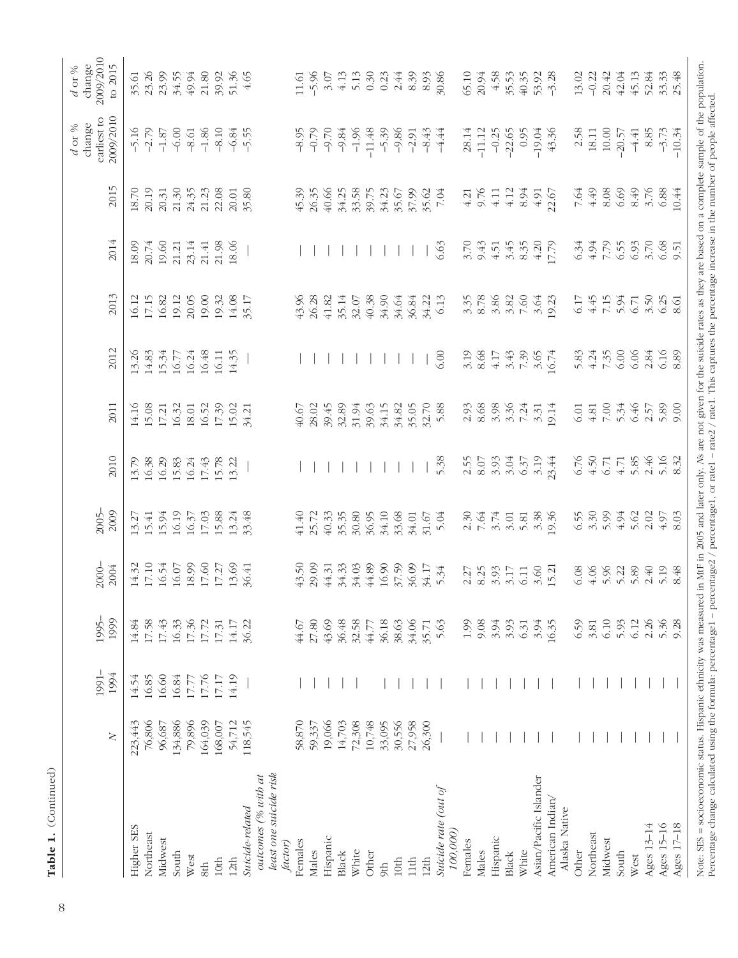|                                                          | $\geq$    | 1991-<br>1994 | 1995-<br>1999 | 20004                                                                                                                                                                                                                                                                                                         | 2005-                                                                                                                                                                                                                                                                                               | 2010                                                                                                                                                                                                                                                                                                | 2011                                                                                                                                                                                                                                                                                                          | 2012                                                                                                                    | 2013                                                                                                                                                                                                                                                                                                          | 2014                                                                                                                                                                                                                                                                                                        | 2015                                                                                            | earliest to<br>2009/2010<br>$d$ or % change                                                                                                                                                                                                                                                                                                                                                                                                                                                                                                | change<br>2009/2010<br>to 2015<br>$d$ or $\%$                                                                                                                                                                                                                                                                                                                                                                                                                                                   |
|----------------------------------------------------------|-----------|---------------|---------------|---------------------------------------------------------------------------------------------------------------------------------------------------------------------------------------------------------------------------------------------------------------------------------------------------------------|-----------------------------------------------------------------------------------------------------------------------------------------------------------------------------------------------------------------------------------------------------------------------------------------------------|-----------------------------------------------------------------------------------------------------------------------------------------------------------------------------------------------------------------------------------------------------------------------------------------------------|---------------------------------------------------------------------------------------------------------------------------------------------------------------------------------------------------------------------------------------------------------------------------------------------------------------|-------------------------------------------------------------------------------------------------------------------------|---------------------------------------------------------------------------------------------------------------------------------------------------------------------------------------------------------------------------------------------------------------------------------------------------------------|-------------------------------------------------------------------------------------------------------------------------------------------------------------------------------------------------------------------------------------------------------------------------------------------------------------|-------------------------------------------------------------------------------------------------|--------------------------------------------------------------------------------------------------------------------------------------------------------------------------------------------------------------------------------------------------------------------------------------------------------------------------------------------------------------------------------------------------------------------------------------------------------------------------------------------------------------------------------------------|-------------------------------------------------------------------------------------------------------------------------------------------------------------------------------------------------------------------------------------------------------------------------------------------------------------------------------------------------------------------------------------------------------------------------------------------------------------------------------------------------|
| <b>Higher SES</b>                                        | 223,443   | 14.54         | 14.84         | $\begin{array}{l} 14.32 \\ 17.10 \\ 19.54 \\ 19.59 \\ 10.0 \\ 11.0 \\ 12.0 \\ 13.0 \\ 15.0 \\ 16.0 \\ 17.0 \\ 18.0 \\ 19.0 \\ 19.0 \\ 10.0 \\ 10.0 \\ 10.0 \\ 10.0 \\ 10.0 \\ 11.0 \\ 13.0 \\ 14.0 \\ 15.0 \\ 16.0 \\ 17.0 \\ 19.0 \\ 19.0 \\ 19.0 \\ 19.0 \\ 19.0 \\ 19.0 \\ 19.0 \\ 19.0 \\ 19.0 \\ 19.0$   | $\begin{array}{l} 13.27 \\ 15.41 \\ 15.94 \\ 16.37 \\ 17.63 \\ 19.63 \\ 15.88 \\ 19.34 \\ 19.34 \\ 19.34 \\ 19.48 \\ 10.48 \\ 13.48 \\ 13.48 \\ 13.48 \\ 14.48 \\ 15.49 \\ 16.49 \\ 17.49 \\ 18.49 \\ 19.49 \\ 19.49 \\ 19.49 \\ 19.49 \\ 19.40 \\ 19.40 \\ 19.40 \\ 19.40 \\ 19.40 \\ 19.40 \\ 19$ | $\begin{array}{c} 13.79 \\ 14.38 \\ 15.39 \\ 15.83 \\ 15.44 \\ 15.78 \\ 13.21 \\ 15.78 \\ 13.21 \\ 14.79 \\ 15.78 \\ 16.71 \\ 17.72 \\ 18.73 \\ 19.73 \\ 13.73 \\ 14.73 \\ 15.73 \\ 16.73 \\ 17.73 \\ 18.73 \\ 19.73 \\ 19.73 \\ 19.73 \\ 19.73 \\ 19.73 \\ 19.73 \\ 19.73 \\ 19.73 \\ 19.73 \\ 19$ | 14.16<br>15.08<br>17.21<br>17.32<br>16.52<br>17.39<br>17.32                                                                                                                                                                                                                                                   | $\begin{array}{l} 13.26 \\ 14.83 \\ 15.34 \\ 16.77 \\ 16.48 \\ 16.49 \\ 11.5 \\ 14.35 \\ 14.35 \\ 14.35 \\ \end{array}$ | $16.12\n17.15\n19.23\n10.33\n11.43\n12.53\n13.53\n14.53\n15.53\n16.53\n17.53\n18.53\n19.53\n11.53\n12.53\n13.53\n14.53\n15.53$                                                                                                                                                                                |                                                                                                                                                                                                                                                                                                             | $18.70$<br>$20.31$<br>$30.31$<br>$31.31$<br>$31.31$<br>$31.31$<br>$31.31$<br>$30.31$<br>$30.31$ |                                                                                                                                                                                                                                                                                                                                                                                                                                                                                                                                            | $5.38$ $5.38$ $5.38$ $5.38$ $5.38$ $5.38$ $5.38$ $5.38$ $5.38$ $5.38$ $5.38$                                                                                                                                                                                                                                                                                                                                                                                                                    |
| Northeast                                                | 76,806    | 16.85         | 17.58         |                                                                                                                                                                                                                                                                                                               |                                                                                                                                                                                                                                                                                                     |                                                                                                                                                                                                                                                                                                     |                                                                                                                                                                                                                                                                                                               |                                                                                                                         |                                                                                                                                                                                                                                                                                                               | $\begin{array}{c} 20.74 \\ 20.74 \\ 21.74 \\ 22.74 \\ 23.74 \\ 24.74 \\ 25.8 \\ 26.8 \\ 27.74 \\ 28.0 \\ 29.0 \\ 20.0 \\ 20.0 \\ 21.0 \\ 22.0 \\ 23.0 \\ 24.0 \\ 25.0 \\ 26.0 \\ 27.0 \\ 28.0 \\ 29.0 \\ 20.0 \\ 21.0 \\ 23.0 \\ 24.0 \\ 25.0 \\ 26.0 \\ 27.0 \\ 28.0 \\ 29.0 \\ 29.0 \\ 20.0 \\ 20.0 \\ 2$ |                                                                                                 |                                                                                                                                                                                                                                                                                                                                                                                                                                                                                                                                            |                                                                                                                                                                                                                                                                                                                                                                                                                                                                                                 |
| Midwest                                                  | 96,687    | 16.60         | 17.43         |                                                                                                                                                                                                                                                                                                               |                                                                                                                                                                                                                                                                                                     |                                                                                                                                                                                                                                                                                                     |                                                                                                                                                                                                                                                                                                               |                                                                                                                         |                                                                                                                                                                                                                                                                                                               |                                                                                                                                                                                                                                                                                                             |                                                                                                 |                                                                                                                                                                                                                                                                                                                                                                                                                                                                                                                                            |                                                                                                                                                                                                                                                                                                                                                                                                                                                                                                 |
| South                                                    | 134,886   | $16.84\,$     | 16.33         |                                                                                                                                                                                                                                                                                                               |                                                                                                                                                                                                                                                                                                     |                                                                                                                                                                                                                                                                                                     |                                                                                                                                                                                                                                                                                                               |                                                                                                                         |                                                                                                                                                                                                                                                                                                               |                                                                                                                                                                                                                                                                                                             |                                                                                                 |                                                                                                                                                                                                                                                                                                                                                                                                                                                                                                                                            |                                                                                                                                                                                                                                                                                                                                                                                                                                                                                                 |
| West                                                     | 79,896    | 17.77         | 17.36         |                                                                                                                                                                                                                                                                                                               |                                                                                                                                                                                                                                                                                                     |                                                                                                                                                                                                                                                                                                     |                                                                                                                                                                                                                                                                                                               |                                                                                                                         |                                                                                                                                                                                                                                                                                                               |                                                                                                                                                                                                                                                                                                             |                                                                                                 |                                                                                                                                                                                                                                                                                                                                                                                                                                                                                                                                            |                                                                                                                                                                                                                                                                                                                                                                                                                                                                                                 |
| 8th                                                      | 164,039   | 17.76         | 17.72         |                                                                                                                                                                                                                                                                                                               |                                                                                                                                                                                                                                                                                                     |                                                                                                                                                                                                                                                                                                     |                                                                                                                                                                                                                                                                                                               |                                                                                                                         |                                                                                                                                                                                                                                                                                                               |                                                                                                                                                                                                                                                                                                             |                                                                                                 |                                                                                                                                                                                                                                                                                                                                                                                                                                                                                                                                            |                                                                                                                                                                                                                                                                                                                                                                                                                                                                                                 |
| 10th                                                     | $168,007$ | $17.17\,$     | 17.31         |                                                                                                                                                                                                                                                                                                               |                                                                                                                                                                                                                                                                                                     |                                                                                                                                                                                                                                                                                                     |                                                                                                                                                                                                                                                                                                               |                                                                                                                         |                                                                                                                                                                                                                                                                                                               |                                                                                                                                                                                                                                                                                                             |                                                                                                 |                                                                                                                                                                                                                                                                                                                                                                                                                                                                                                                                            |                                                                                                                                                                                                                                                                                                                                                                                                                                                                                                 |
| 12 <sub>th</sub>                                         | 54,712    | 14.19         | 14.17         |                                                                                                                                                                                                                                                                                                               |                                                                                                                                                                                                                                                                                                     |                                                                                                                                                                                                                                                                                                     |                                                                                                                                                                                                                                                                                                               |                                                                                                                         |                                                                                                                                                                                                                                                                                                               |                                                                                                                                                                                                                                                                                                             |                                                                                                 |                                                                                                                                                                                                                                                                                                                                                                                                                                                                                                                                            |                                                                                                                                                                                                                                                                                                                                                                                                                                                                                                 |
| Suicide-related                                          | 118,545   |               | 36.22         |                                                                                                                                                                                                                                                                                                               |                                                                                                                                                                                                                                                                                                     |                                                                                                                                                                                                                                                                                                     |                                                                                                                                                                                                                                                                                                               |                                                                                                                         |                                                                                                                                                                                                                                                                                                               |                                                                                                                                                                                                                                                                                                             |                                                                                                 |                                                                                                                                                                                                                                                                                                                                                                                                                                                                                                                                            |                                                                                                                                                                                                                                                                                                                                                                                                                                                                                                 |
| least one suicide risk<br>outcomes (% with at<br>factor) |           |               |               |                                                                                                                                                                                                                                                                                                               |                                                                                                                                                                                                                                                                                                     |                                                                                                                                                                                                                                                                                                     |                                                                                                                                                                                                                                                                                                               |                                                                                                                         |                                                                                                                                                                                                                                                                                                               |                                                                                                                                                                                                                                                                                                             |                                                                                                 |                                                                                                                                                                                                                                                                                                                                                                                                                                                                                                                                            |                                                                                                                                                                                                                                                                                                                                                                                                                                                                                                 |
| Females                                                  | 58,870    |               | 44.67         |                                                                                                                                                                                                                                                                                                               |                                                                                                                                                                                                                                                                                                     |                                                                                                                                                                                                                                                                                                     |                                                                                                                                                                                                                                                                                                               |                                                                                                                         |                                                                                                                                                                                                                                                                                                               |                                                                                                                                                                                                                                                                                                             |                                                                                                 |                                                                                                                                                                                                                                                                                                                                                                                                                                                                                                                                            |                                                                                                                                                                                                                                                                                                                                                                                                                                                                                                 |
| Males                                                    | 59,337    |               | 27.80         |                                                                                                                                                                                                                                                                                                               |                                                                                                                                                                                                                                                                                                     |                                                                                                                                                                                                                                                                                                     |                                                                                                                                                                                                                                                                                                               |                                                                                                                         |                                                                                                                                                                                                                                                                                                               |                                                                                                                                                                                                                                                                                                             |                                                                                                 |                                                                                                                                                                                                                                                                                                                                                                                                                                                                                                                                            |                                                                                                                                                                                                                                                                                                                                                                                                                                                                                                 |
| Hispanic                                                 | 19,066    |               | 43.69         |                                                                                                                                                                                                                                                                                                               |                                                                                                                                                                                                                                                                                                     |                                                                                                                                                                                                                                                                                                     |                                                                                                                                                                                                                                                                                                               |                                                                                                                         | $\begin{array}{l} 98.83 & 141.5 & 142.5 & 143.5 & 144.5 & 145.5 & 146.5 & 147.5 & 147.5 & 148.5 & 147.5 & 147.5 & 148.5 & 147.5 & 147.5 & 148.5 & 149.5 & 140.5 & 147.5 & 147.5 & 148.5 & 149.5 & 140.5 & 140.5 & 140.5 & 140.5 & 140.5 & 140.5 & 140.5 & 140.5 & 14$                                         |                                                                                                                                                                                                                                                                                                             |                                                                                                 | $\begin{array}{l} \mathcal{S}\circledcirc\; \mathcal{C}\circledcirc\; \mathcal{C}\circledcirc\; \mathcal{C}\circledcirc\; \mathcal{C}\circledcirc\; \mathcal{C}\circledcirc\; \mathcal{C}\circledcirc\; \mathcal{C}\circledcirc\; \mathcal{C}\circledcirc\; \mathcal{C}\circledcirc\; \mathcal{C}\circledcirc\; \mathcal{C}\circledcirc\; \mathcal{C}\circledcirc\; \mathcal{C}\circledcirc\; \mathcal{C}\circledcirc\; \mathcal{C}\circledcirc\; \mathcal{C}\circledcirc\; \mathcal{C}\circledcirc\; \mathcal{C}\circledcirc\; \mathcal{$ | $\begin{array}{l} \Xi \lessgtr \Xi \lessgtr \Xi \lessgtr \Xi \lessgtr \Xi \lessgtr \Xi \lessgtr \Xi \lessgtr \Xi \lessgtr \Xi \lessgtr \Xi \lessgtr \Xi \lessgtr \Xi \lessgtr \Xi \lessgtr \Xi \lessgtr \Xi \lessgtr \Xi \lessgtr \Xi \lessgtr \Xi \lessgtr \Xi \lessgtr \Xi \lessgtr \Xi \lessgtr \Xi \lessgtr \Xi \lessgtr \Xi \lessgtr \Xi \lessgtr \Xi \lessgtr \Xi \lessgtr \Xi \lessgtr \Xi \lessgtr \Xi \lessgtr \Xi \lessgtr \Xi \lessgtr \Xi \lessgtr \Xi \lessgtr \Xi \lessgtr \Xi \$ |
| Black                                                    | 14,703    |               | 36.48         |                                                                                                                                                                                                                                                                                                               |                                                                                                                                                                                                                                                                                                     |                                                                                                                                                                                                                                                                                                     |                                                                                                                                                                                                                                                                                                               |                                                                                                                         |                                                                                                                                                                                                                                                                                                               |                                                                                                                                                                                                                                                                                                             |                                                                                                 |                                                                                                                                                                                                                                                                                                                                                                                                                                                                                                                                            |                                                                                                                                                                                                                                                                                                                                                                                                                                                                                                 |
| White                                                    | 72,308    |               | 32.58         |                                                                                                                                                                                                                                                                                                               |                                                                                                                                                                                                                                                                                                     |                                                                                                                                                                                                                                                                                                     |                                                                                                                                                                                                                                                                                                               |                                                                                                                         |                                                                                                                                                                                                                                                                                                               |                                                                                                                                                                                                                                                                                                             |                                                                                                 |                                                                                                                                                                                                                                                                                                                                                                                                                                                                                                                                            |                                                                                                                                                                                                                                                                                                                                                                                                                                                                                                 |
| Other                                                    | 10,748    |               | 44.77         |                                                                                                                                                                                                                                                                                                               |                                                                                                                                                                                                                                                                                                     |                                                                                                                                                                                                                                                                                                     |                                                                                                                                                                                                                                                                                                               |                                                                                                                         |                                                                                                                                                                                                                                                                                                               |                                                                                                                                                                                                                                                                                                             |                                                                                                 |                                                                                                                                                                                                                                                                                                                                                                                                                                                                                                                                            |                                                                                                                                                                                                                                                                                                                                                                                                                                                                                                 |
| 9th                                                      | 33,095    |               | 36.18         |                                                                                                                                                                                                                                                                                                               |                                                                                                                                                                                                                                                                                                     |                                                                                                                                                                                                                                                                                                     |                                                                                                                                                                                                                                                                                                               |                                                                                                                         |                                                                                                                                                                                                                                                                                                               |                                                                                                                                                                                                                                                                                                             |                                                                                                 |                                                                                                                                                                                                                                                                                                                                                                                                                                                                                                                                            |                                                                                                                                                                                                                                                                                                                                                                                                                                                                                                 |
| 10th                                                     | 30,556    |               | 38.63         |                                                                                                                                                                                                                                                                                                               |                                                                                                                                                                                                                                                                                                     |                                                                                                                                                                                                                                                                                                     |                                                                                                                                                                                                                                                                                                               |                                                                                                                         |                                                                                                                                                                                                                                                                                                               |                                                                                                                                                                                                                                                                                                             |                                                                                                 |                                                                                                                                                                                                                                                                                                                                                                                                                                                                                                                                            |                                                                                                                                                                                                                                                                                                                                                                                                                                                                                                 |
| 11th                                                     | 27,958    |               | 34.06         |                                                                                                                                                                                                                                                                                                               |                                                                                                                                                                                                                                                                                                     |                                                                                                                                                                                                                                                                                                     |                                                                                                                                                                                                                                                                                                               |                                                                                                                         |                                                                                                                                                                                                                                                                                                               |                                                                                                                                                                                                                                                                                                             |                                                                                                 |                                                                                                                                                                                                                                                                                                                                                                                                                                                                                                                                            |                                                                                                                                                                                                                                                                                                                                                                                                                                                                                                 |
| 12 <sub>th</sub>                                         | 26,300    |               | 35.71         |                                                                                                                                                                                                                                                                                                               |                                                                                                                                                                                                                                                                                                     |                                                                                                                                                                                                                                                                                                     |                                                                                                                                                                                                                                                                                                               |                                                                                                                         |                                                                                                                                                                                                                                                                                                               |                                                                                                                                                                                                                                                                                                             |                                                                                                 |                                                                                                                                                                                                                                                                                                                                                                                                                                                                                                                                            |                                                                                                                                                                                                                                                                                                                                                                                                                                                                                                 |
| Suicide rate (out of<br>100,000)                         |           |               | 5.63          |                                                                                                                                                                                                                                                                                                               |                                                                                                                                                                                                                                                                                                     | 5.38                                                                                                                                                                                                                                                                                                |                                                                                                                                                                                                                                                                                                               | 6.00                                                                                                                    |                                                                                                                                                                                                                                                                                                               | 6.63                                                                                                                                                                                                                                                                                                        |                                                                                                 |                                                                                                                                                                                                                                                                                                                                                                                                                                                                                                                                            |                                                                                                                                                                                                                                                                                                                                                                                                                                                                                                 |
| Females                                                  |           |               | 1.99          | 2.27                                                                                                                                                                                                                                                                                                          |                                                                                                                                                                                                                                                                                                     |                                                                                                                                                                                                                                                                                                     |                                                                                                                                                                                                                                                                                                               |                                                                                                                         |                                                                                                                                                                                                                                                                                                               |                                                                                                                                                                                                                                                                                                             |                                                                                                 |                                                                                                                                                                                                                                                                                                                                                                                                                                                                                                                                            |                                                                                                                                                                                                                                                                                                                                                                                                                                                                                                 |
| Males                                                    |           |               | 9.08          | 8.25<br>3.35<br>5.11<br>6.11                                                                                                                                                                                                                                                                                  | $\begin{array}{c} 2.30 \\ 7.64 \\ 7.81 \\ 3.01 \\ 4.83 \\ 6.38 \\ 9.36 \\ \hline \end{array}$                                                                                                                                                                                                       | 25034503450345                                                                                                                                                                                                                                                                                      | $\begin{array}{c} 2.93 \\ 0.86 \\ 0.87 \\ 0.87 \\ 0.87 \\ 0.87 \\ 0.87 \\ 0.87 \\ 0.87 \\ 0.87 \\ 0.87 \\ 0.87 \\ 0.87 \\ 0.87 \\ 0.87 \\ 0.87 \\ 0.87 \\ 0.87 \\ 0.87 \\ 0.87 \\ 0.87 \\ 0.87 \\ 0.87 \\ 0.87 \\ 0.87 \\ 0.87 \\ 0.87 \\ 0.87 \\ 0.87 \\ 0.87 \\ 0.87 \\ 0.87 \\ 0.87 \\ 0.87 \\ 0.87 \\ 0.$ | $3.19$ $3.68$ $4.38$ $5.43$ $6.54$ $6.74$                                                                               | $\begin{array}{c} 3.35 \\ 3.88 \\ 8.38 \\ 7.59 \\ 8.39 \\ 7.59 \\ 1.33 \\ 1.33 \\ 1.33 \\ 1.33 \\ 1.33 \\ 1.33 \\ 1.33 \\ 1.33 \\ 1.33 \\ 1.33 \\ 1.33 \\ 1.33 \\ 1.33 \\ 1.33 \\ 1.33 \\ 1.33 \\ 1.33 \\ 1.33 \\ 1.33 \\ 1.33 \\ 1.33 \\ 1.33 \\ 1.33 \\ 1.33 \\ 1.33 \\ 1.33 \\ 1.33 \\ 1.33 \\ 1.33 \\ 1.$ | $3.70$<br>9.43<br>4.51                                                                                                                                                                                                                                                                                      | $4.21$<br>$9.76$<br>$4.12$<br>$4.94$<br>$6.51$<br>$6.52$<br>$6.52$                              | $78.14\n-11.12\n-0.25\n-22.65\n-19.04\n43.36$                                                                                                                                                                                                                                                                                                                                                                                                                                                                                              | $65.19\n20.94\n55.53\n55.33\n65.33\n75.34\n86.33\n97.38\n19.33\n19.33\n19.33\n19.33\n19.33\n19.33\n19.33\n19.33\n19.33\n19.33\n19.33\n19.33\n19.33\n19.33\n19.33\n19.33\n19.33\n19.33\n19.33\n19.3$                                                                                                                                                                                                                                                                                             |
| Hispanic                                                 |           |               | 3.94          |                                                                                                                                                                                                                                                                                                               |                                                                                                                                                                                                                                                                                                     |                                                                                                                                                                                                                                                                                                     |                                                                                                                                                                                                                                                                                                               |                                                                                                                         |                                                                                                                                                                                                                                                                                                               |                                                                                                                                                                                                                                                                                                             |                                                                                                 |                                                                                                                                                                                                                                                                                                                                                                                                                                                                                                                                            |                                                                                                                                                                                                                                                                                                                                                                                                                                                                                                 |
| Black                                                    |           |               | 3.93          |                                                                                                                                                                                                                                                                                                               |                                                                                                                                                                                                                                                                                                     |                                                                                                                                                                                                                                                                                                     |                                                                                                                                                                                                                                                                                                               |                                                                                                                         |                                                                                                                                                                                                                                                                                                               |                                                                                                                                                                                                                                                                                                             |                                                                                                 |                                                                                                                                                                                                                                                                                                                                                                                                                                                                                                                                            |                                                                                                                                                                                                                                                                                                                                                                                                                                                                                                 |
| White                                                    |           |               | 6.31          |                                                                                                                                                                                                                                                                                                               |                                                                                                                                                                                                                                                                                                     |                                                                                                                                                                                                                                                                                                     |                                                                                                                                                                                                                                                                                                               |                                                                                                                         |                                                                                                                                                                                                                                                                                                               | $3.45$<br>$8.30$<br>$4.20$<br>$7.79$                                                                                                                                                                                                                                                                        |                                                                                                 |                                                                                                                                                                                                                                                                                                                                                                                                                                                                                                                                            |                                                                                                                                                                                                                                                                                                                                                                                                                                                                                                 |
| Asian/Pacific Islander                                   |           |               | 3.94          | $3.60$<br>15.21                                                                                                                                                                                                                                                                                               |                                                                                                                                                                                                                                                                                                     |                                                                                                                                                                                                                                                                                                     |                                                                                                                                                                                                                                                                                                               |                                                                                                                         |                                                                                                                                                                                                                                                                                                               |                                                                                                                                                                                                                                                                                                             |                                                                                                 |                                                                                                                                                                                                                                                                                                                                                                                                                                                                                                                                            |                                                                                                                                                                                                                                                                                                                                                                                                                                                                                                 |
| American Indian<br>Alaska Native                         |           |               | 16.35         |                                                                                                                                                                                                                                                                                                               |                                                                                                                                                                                                                                                                                                     |                                                                                                                                                                                                                                                                                                     |                                                                                                                                                                                                                                                                                                               |                                                                                                                         |                                                                                                                                                                                                                                                                                                               |                                                                                                                                                                                                                                                                                                             |                                                                                                 |                                                                                                                                                                                                                                                                                                                                                                                                                                                                                                                                            |                                                                                                                                                                                                                                                                                                                                                                                                                                                                                                 |
| Other                                                    |           |               | 6.59          |                                                                                                                                                                                                                                                                                                               |                                                                                                                                                                                                                                                                                                     |                                                                                                                                                                                                                                                                                                     |                                                                                                                                                                                                                                                                                                               |                                                                                                                         |                                                                                                                                                                                                                                                                                                               |                                                                                                                                                                                                                                                                                                             |                                                                                                 | 2.58                                                                                                                                                                                                                                                                                                                                                                                                                                                                                                                                       |                                                                                                                                                                                                                                                                                                                                                                                                                                                                                                 |
| Northeast                                                |           |               | 3.81          | $\begin{array}{c} 0.08 \\ 0.06 \\ 0.07 \\ 0.07 \\ 0.07 \\ 0.07 \\ 0.07 \\ 0.07 \\ 0.07 \\ 0.07 \\ 0.07 \\ 0.07 \\ 0.07 \\ 0.07 \\ 0.07 \\ 0.07 \\ 0.07 \\ 0.07 \\ 0.07 \\ 0.07 \\ 0.07 \\ 0.07 \\ 0.07 \\ 0.07 \\ 0.07 \\ 0.07 \\ 0.07 \\ 0.07 \\ 0.07 \\ 0.07 \\ 0.07 \\ 0.07 \\ 0.07 \\ 0.07 \\ 0.07 \\ 0.$ |                                                                                                                                                                                                                                                                                                     |                                                                                                                                                                                                                                                                                                     | $\begin{array}{l} 0.01 \\ 0.01 \\ 0.01 \\ 0.01 \\ 0.01 \\ 0.01 \\ 0.01 \\ 0.01 \\ 0.01 \\ 0.01 \\ 0.01 \\ 0.01 \\ 0.01 \\ 0.01 \\ 0.01 \\ 0.01 \\ 0.01 \\ 0.01 \\ 0.01 \\ 0.01 \\ 0.01 \\ 0.01 \\ 0.01 \\ 0.01 \\ 0.01 \\ 0.01 \\ 0.01 \\ 0.01 \\ 0.01 \\ 0.01 \\ 0.01 \\ 0.01 \\ 0.01 \\ 0.01 \\ 0.01 \\ 0.$ |                                                                                                                         | 174577885<br>645877885                                                                                                                                                                                                                                                                                        | 33<br>34 5 5 5 6 5 6 9 5<br>6 4 5 6 6 6 6 6 7                                                                                                                                                                                                                                                               |                                                                                                 | 18.11<br>10.00<br>10.00<br>4.41<br>4.3.73<br>8.85<br>-3.73                                                                                                                                                                                                                                                                                                                                                                                                                                                                                 |                                                                                                                                                                                                                                                                                                                                                                                                                                                                                                 |
| Midwest                                                  |           |               | 6.10          |                                                                                                                                                                                                                                                                                                               |                                                                                                                                                                                                                                                                                                     |                                                                                                                                                                                                                                                                                                     |                                                                                                                                                                                                                                                                                                               |                                                                                                                         |                                                                                                                                                                                                                                                                                                               |                                                                                                                                                                                                                                                                                                             |                                                                                                 |                                                                                                                                                                                                                                                                                                                                                                                                                                                                                                                                            |                                                                                                                                                                                                                                                                                                                                                                                                                                                                                                 |
| South                                                    |           |               | 5.93          |                                                                                                                                                                                                                                                                                                               |                                                                                                                                                                                                                                                                                                     |                                                                                                                                                                                                                                                                                                     |                                                                                                                                                                                                                                                                                                               |                                                                                                                         |                                                                                                                                                                                                                                                                                                               |                                                                                                                                                                                                                                                                                                             |                                                                                                 |                                                                                                                                                                                                                                                                                                                                                                                                                                                                                                                                            |                                                                                                                                                                                                                                                                                                                                                                                                                                                                                                 |
| West                                                     |           |               | 6.12          |                                                                                                                                                                                                                                                                                                               |                                                                                                                                                                                                                                                                                                     |                                                                                                                                                                                                                                                                                                     |                                                                                                                                                                                                                                                                                                               |                                                                                                                         |                                                                                                                                                                                                                                                                                                               |                                                                                                                                                                                                                                                                                                             |                                                                                                 |                                                                                                                                                                                                                                                                                                                                                                                                                                                                                                                                            |                                                                                                                                                                                                                                                                                                                                                                                                                                                                                                 |
| Ages 13-14                                               |           |               | 2.26          |                                                                                                                                                                                                                                                                                                               |                                                                                                                                                                                                                                                                                                     |                                                                                                                                                                                                                                                                                                     |                                                                                                                                                                                                                                                                                                               |                                                                                                                         |                                                                                                                                                                                                                                                                                                               |                                                                                                                                                                                                                                                                                                             |                                                                                                 |                                                                                                                                                                                                                                                                                                                                                                                                                                                                                                                                            |                                                                                                                                                                                                                                                                                                                                                                                                                                                                                                 |
| Ages 15-16                                               |           |               | 5.36          |                                                                                                                                                                                                                                                                                                               |                                                                                                                                                                                                                                                                                                     |                                                                                                                                                                                                                                                                                                     |                                                                                                                                                                                                                                                                                                               |                                                                                                                         |                                                                                                                                                                                                                                                                                                               |                                                                                                                                                                                                                                                                                                             |                                                                                                 |                                                                                                                                                                                                                                                                                                                                                                                                                                                                                                                                            |                                                                                                                                                                                                                                                                                                                                                                                                                                                                                                 |
| Ages 17-18                                               |           |               | 9.28          | 8.48                                                                                                                                                                                                                                                                                                          |                                                                                                                                                                                                                                                                                                     |                                                                                                                                                                                                                                                                                                     |                                                                                                                                                                                                                                                                                                               |                                                                                                                         |                                                                                                                                                                                                                                                                                                               |                                                                                                                                                                                                                                                                                                             |                                                                                                 |                                                                                                                                                                                                                                                                                                                                                                                                                                                                                                                                            |                                                                                                                                                                                                                                                                                                                                                                                                                                                                                                 |
| $\frac{1}{2}$<br>andinas<br>$M_{\rm crit}$ CHC           | Hinnandin | otheristics:  |               | MAC                                                                                                                                                                                                                                                                                                           |                                                                                                                                                                                                                                                                                                     |                                                                                                                                                                                                                                                                                                     |                                                                                                                                                                                                                                                                                                               |                                                                                                                         |                                                                                                                                                                                                                                                                                                               |                                                                                                                                                                                                                                                                                                             |                                                                                                 | مله مداح                                                                                                                                                                                                                                                                                                                                                                                                                                                                                                                                   | $\ddot{\phantom{a}}$                                                                                                                                                                                                                                                                                                                                                                                                                                                                            |

Note: SES = socioeconomic status. Hispanic ethnicity was measured in MF in 2005 and later only. As are not given for the suicide rates as they are based on a complete sample of the population.<br>Percentage change calculated Note: SES = socioeconomic status. Hispanic ethnicity was measured in MtF in 2005 and later only. *N*s are not given for the suicide rates as they are based on a complete sample of the population. Percentage change calculated using the formula: percentage1 – percentage2 / percentage1, or rate1 – rate2 / rate1. This captures the percentage increase in the number of people affected.

Table 1. (Continued)

Table 1. (Continued)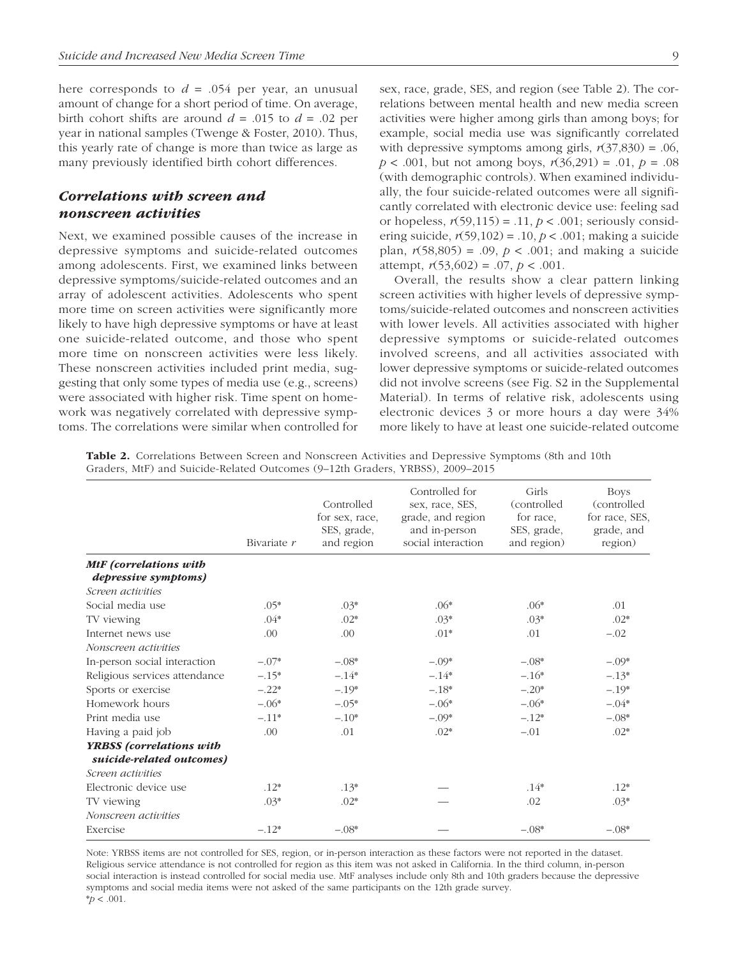here corresponds to  $d = 0.054$  per year, an unusual amount of change for a short period of time. On average, birth cohort shifts are around  $d = .015$  to  $d = .02$  per year in national samples (Twenge & Foster, 2010). Thus, this yearly rate of change is more than twice as large as many previously identified birth cohort differences.

# *Correlations with screen and nonscreen activities*

Next, we examined possible causes of the increase in depressive symptoms and suicide-related outcomes among adolescents. First, we examined links between depressive symptoms/suicide-related outcomes and an array of adolescent activities. Adolescents who spent more time on screen activities were significantly more likely to have high depressive symptoms or have at least one suicide-related outcome, and those who spent more time on nonscreen activities were less likely. These nonscreen activities included print media, suggesting that only some types of media use (e.g., screens) were associated with higher risk. Time spent on homework was negatively correlated with depressive symptoms. The correlations were similar when controlled for sex, race, grade, SES, and region (see Table 2). The correlations between mental health and new media screen activities were higher among girls than among boys; for example, social media use was significantly correlated with depressive symptoms among girls,  $r(37,830) = .06$ , *p* < .001, but not among boys, *r*(36,291) = .01, *p* = .08 (with demographic controls). When examined individually, the four suicide-related outcomes were all significantly correlated with electronic device use: feeling sad or hopeless,  $r(59,115) = .11$ ,  $p < .001$ ; seriously considering suicide,  $r(59,102) = .10$ ,  $p < .001$ ; making a suicide plan,  $r(58,805) = .09$ ,  $p < .001$ ; and making a suicide attempt,  $r(53,602) = .07$ ,  $p < .001$ .

Overall, the results show a clear pattern linking screen activities with higher levels of depressive symptoms/suicide-related outcomes and nonscreen activities with lower levels. All activities associated with higher depressive symptoms or suicide-related outcomes involved screens, and all activities associated with lower depressive symptoms or suicide-related outcomes [did not involve screens \(see Fig. S2 in the Supplemental](http://journals.sagepub.com/doi/suppl/10.1177/2167702617723376) Material). In terms of relative risk, adolescents using electronic devices 3 or more hours a day were 34% more likely to have at least one suicide-related outcome

Table 2. Correlations Between Screen and Nonscreen Activities and Depressive Symptoms (8th and 10th Graders, MtF) and Suicide-Related Outcomes (9–12th Graders, YRBSS), 2009–2015

|                                                                                   | Bivariate r | Controlled<br>for sex, race,<br>SES, grade,<br>and region | Controlled for<br>sex, race, SES,<br>grade, and region<br>and in-person<br>social interaction | Girls<br>(controlled<br>for race.<br>SES, grade,<br>and region) | <b>Boys</b><br>(controlled)<br>for race, SES,<br>grade, and<br>region) |
|-----------------------------------------------------------------------------------|-------------|-----------------------------------------------------------|-----------------------------------------------------------------------------------------------|-----------------------------------------------------------------|------------------------------------------------------------------------|
| <b>MtF</b> (correlations with<br><i>depressive symptoms</i> )                     |             |                                                           |                                                                                               |                                                                 |                                                                        |
| Screen activities                                                                 |             |                                                           |                                                                                               |                                                                 |                                                                        |
| Social media use                                                                  | $.05*$      | $.03*$                                                    | $.06*$                                                                                        | $.06*$                                                          | .01                                                                    |
| TV viewing                                                                        | $.04*$      | $.02*$                                                    | $.03*$                                                                                        | $.03*$                                                          | $.02*$                                                                 |
| Internet news use                                                                 | .00         | .00                                                       | $.01*$                                                                                        | .01                                                             | $-.02$                                                                 |
| Nonscreen activities                                                              |             |                                                           |                                                                                               |                                                                 |                                                                        |
| In-person social interaction                                                      | $-.07*$     | $-.08*$                                                   | $-.09*$                                                                                       | $-.08*$                                                         | $-.09*$                                                                |
| Religious services attendance                                                     | $-.15*$     | $-.14*$                                                   | $-.14*$                                                                                       | $-.16*$                                                         | $-.13*$                                                                |
| Sports or exercise                                                                | $-.22*$     | $-.19*$                                                   | $-.18*$                                                                                       | $-.20*$                                                         | $-.19*$                                                                |
| Homework hours                                                                    | $-.06*$     | $-.05*$                                                   | $-.06*$                                                                                       | $-.06*$                                                         | $-.04*$                                                                |
| Print media use                                                                   | $-.11*$     | $-.10*$                                                   | $-.09*$                                                                                       | $-.12*$                                                         | $-.08*$                                                                |
| Having a paid job                                                                 | .00         | .01                                                       | $.02*$                                                                                        | $-.01$                                                          | $.02*$                                                                 |
| <b>YRBSS</b> (correlations with<br>suicide-related outcomes)<br>Screen activities |             |                                                           |                                                                                               |                                                                 |                                                                        |
| Electronic device use                                                             | $.12*$      | $.13*$                                                    |                                                                                               | $.14*$                                                          | $.12*$                                                                 |
| TV viewing                                                                        | $.03*$      | $.02*$                                                    |                                                                                               | .02                                                             | $.03*$                                                                 |
| Nonscreen activities                                                              |             |                                                           |                                                                                               |                                                                 |                                                                        |
| Exercise                                                                          | $-.12*$     | $-.08*$                                                   |                                                                                               | $-.08*$                                                         | $-.08*$                                                                |

Note: YRBSS items are not controlled for SES, region, or in-person interaction as these factors were not reported in the dataset. Religious service attendance is not controlled for region as this item was not asked in California. In the third column, in-person social interaction is instead controlled for social media use. MtF analyses include only 8th and 10th graders because the depressive symptoms and social media items were not asked of the same participants on the 12th grade survey.  $* p < .001$ .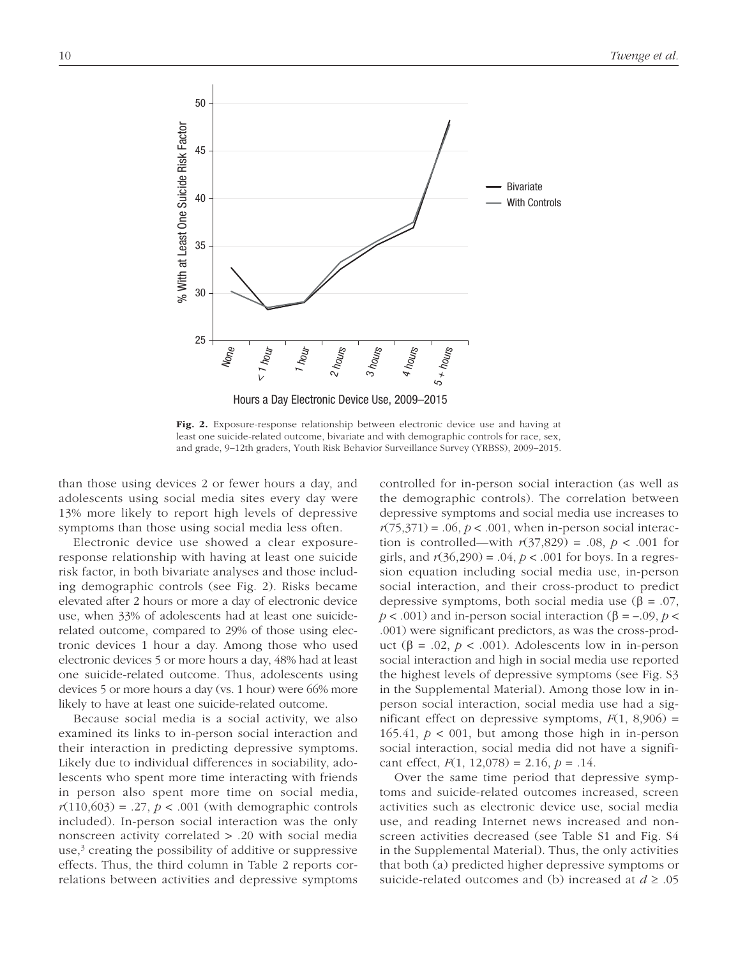

Fig. 2. Exposure-response relationship between electronic device use and having at least one suicide-related outcome, bivariate and with demographic controls for race, sex, and grade, 9–12th graders, Youth Risk Behavior Surveillance Survey (YRBSS), 2009–2015.

than those using devices 2 or fewer hours a day, and adolescents using social media sites every day were 13% more likely to report high levels of depressive symptoms than those using social media less often.

Electronic device use showed a clear exposureresponse relationship with having at least one suicide risk factor, in both bivariate analyses and those including demographic controls (see Fig. 2). Risks became elevated after 2 hours or more a day of electronic device use, when 33% of adolescents had at least one suiciderelated outcome, compared to 29% of those using electronic devices 1 hour a day. Among those who used electronic devices 5 or more hours a day, 48% had at least one suicide-related outcome. Thus, adolescents using devices 5 or more hours a day (vs. 1 hour) were 66% more likely to have at least one suicide-related outcome.

Because social media is a social activity, we also examined its links to in-person social interaction and their interaction in predicting depressive symptoms. Likely due to individual differences in sociability, adolescents who spent more time interacting with friends in person also spent more time on social media,  $r(110,603) = .27$ ,  $p < .001$  (with demographic controls included). In-person social interaction was the only nonscreen activity correlated > .20 with social media use,<sup>3</sup> creating the possibility of additive or suppressive effects. Thus, the third column in Table 2 reports correlations between activities and depressive symptoms

controlled for in-person social interaction (as well as the demographic controls). The correlation between depressive symptoms and social media use increases to  $r(75,371) = .06$ ,  $p < .001$ , when in-person social interaction is controlled—with  $r(37,829) = .08$ ,  $p < .001$  for girls, and *r*(36,290) = .04, *p* < .001 for boys. In a regression equation including social media use, in-person social interaction, and their cross-product to predict depressive symptoms, both social media use (β = .07,  $p < .001$ ) and in-person social interaction ( $\beta = -.09$ ,  $p <$ .001) were significant predictors, as was the cross-product (β = .02,  $p < .001$ ). Adolescents low in in-person social interaction and high in social media use reported the highest levels of depressive symptoms (see Fig. S3 in the [Supplemental Material](http://journals.sagepub.com/doi/suppl/10.1177/2167702617723376)). Among those low in inperson social interaction, social media use had a significant effect on depressive symptoms,  $F(1, 8,906) =$ 165.41,  $p < 001$ , but among those high in in-person social interaction, social media did not have a significant effect,  $F(1, 12,078) = 2.16$ ,  $p = .14$ .

Over the same time period that depressive symptoms and suicide-related outcomes increased, screen activities such as electronic device use, social media use, and reading Internet news increased and nonscreen activities decreased (see Table S1 and Fig. S4 in the [Supplemental Material](http://journals.sagepub.com/doi/suppl/10.1177/2167702617723376)). Thus, the only activities that both (a) predicted higher depressive symptoms or suicide-related outcomes and (b) increased at *d* ≥ .05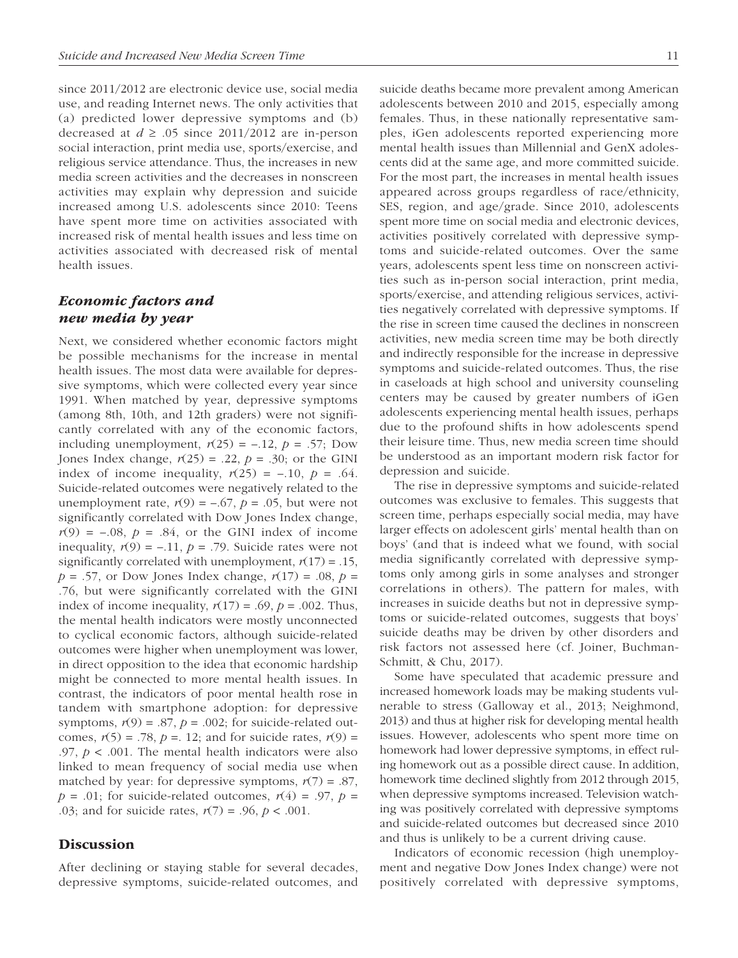since 2011/2012 are electronic device use, social media use, and reading Internet news. The only activities that (a) predicted lower depressive symptoms and (b) decreased at  $d \geq 0.05$  since 2011/2012 are in-person social interaction, print media use, sports/exercise, and religious service attendance. Thus, the increases in new media screen activities and the decreases in nonscreen activities may explain why depression and suicide increased among U.S. adolescents since 2010: Teens have spent more time on activities associated with increased risk of mental health issues and less time on activities associated with decreased risk of mental health issues.

# *Economic factors and new media by year*

Next, we considered whether economic factors might be possible mechanisms for the increase in mental health issues. The most data were available for depressive symptoms, which were collected every year since 1991. When matched by year, depressive symptoms (among 8th, 10th, and 12th graders) were not significantly correlated with any of the economic factors, including unemployment,  $r(25) = -.12$ ,  $p = .57$ ; Dow Jones Index change,  $r(25) = .22$ ,  $p = .30$ ; or the GINI index of income inequality,  $r(25) = -.10$ ,  $p = .64$ . Suicide-related outcomes were negatively related to the unemployment rate,  $r(9) = -.67$ ,  $p = .05$ , but were not significantly correlated with Dow Jones Index change,  $r(9) = -.08$ ,  $p = .84$ , or the GINI index of income inequality,  $r(9) = -.11$ ,  $p = .79$ . Suicide rates were not significantly correlated with unemployment,  $r(17) = .15$ ,  $p = .57$ , or Dow Jones Index change,  $r(17) = .08$ ,  $p =$ .76, but were significantly correlated with the GINI index of income inequality,  $r(17) = .69$ ,  $p = .002$ . Thus, the mental health indicators were mostly unconnected to cyclical economic factors, although suicide-related outcomes were higher when unemployment was lower, in direct opposition to the idea that economic hardship might be connected to more mental health issues. In contrast, the indicators of poor mental health rose in tandem with smartphone adoption: for depressive symptoms,  $r(9) = .87$ ,  $p = .002$ ; for suicide-related outcomes,  $r(5) = .78$ ,  $p = .12$ ; and for suicide rates,  $r(9) =$ .97,  $p < .001$ . The mental health indicators were also linked to mean frequency of social media use when matched by year: for depressive symptoms,  $r(7) = .87$ ,  $p = .01$ ; for suicide-related outcomes,  $r(4) = .97$ ,  $p =$ .03; and for suicide rates, *r*(7) = .96, *p* < .001.

## **Discussion**

After declining or staying stable for several decades, depressive symptoms, suicide-related outcomes, and suicide deaths became more prevalent among American adolescents between 2010 and 2015, especially among females. Thus, in these nationally representative samples, iGen adolescents reported experiencing more mental health issues than Millennial and GenX adolescents did at the same age, and more committed suicide. For the most part, the increases in mental health issues appeared across groups regardless of race/ethnicity, SES, region, and age/grade. Since 2010, adolescents spent more time on social media and electronic devices, activities positively correlated with depressive symptoms and suicide-related outcomes. Over the same years, adolescents spent less time on nonscreen activities such as in-person social interaction, print media, sports/exercise, and attending religious services, activities negatively correlated with depressive symptoms. If the rise in screen time caused the declines in nonscreen activities, new media screen time may be both directly and indirectly responsible for the increase in depressive symptoms and suicide-related outcomes. Thus, the rise in caseloads at high school and university counseling centers may be caused by greater numbers of iGen adolescents experiencing mental health issues, perhaps due to the profound shifts in how adolescents spend their leisure time. Thus, new media screen time should be understood as an important modern risk factor for depression and suicide.

The rise in depressive symptoms and suicide-related outcomes was exclusive to females. This suggests that screen time, perhaps especially social media, may have larger effects on adolescent girls' mental health than on boys' (and that is indeed what we found, with social media significantly correlated with depressive symptoms only among girls in some analyses and stronger correlations in others). The pattern for males, with increases in suicide deaths but not in depressive symptoms or suicide-related outcomes, suggests that boys' suicide deaths may be driven by other disorders and risk factors not assessed here (cf. Joiner, Buchman-Schmitt, & Chu, 2017).

Some have speculated that academic pressure and increased homework loads may be making students vulnerable to stress (Galloway et al., 2013; Neighmond, 2013) and thus at higher risk for developing mental health issues. However, adolescents who spent more time on homework had lower depressive symptoms, in effect ruling homework out as a possible direct cause. In addition, homework time declined slightly from 2012 through 2015, when depressive symptoms increased. Television watching was positively correlated with depressive symptoms and suicide-related outcomes but decreased since 2010 and thus is unlikely to be a current driving cause.

Indicators of economic recession (high unemployment and negative Dow Jones Index change) were not positively correlated with depressive symptoms,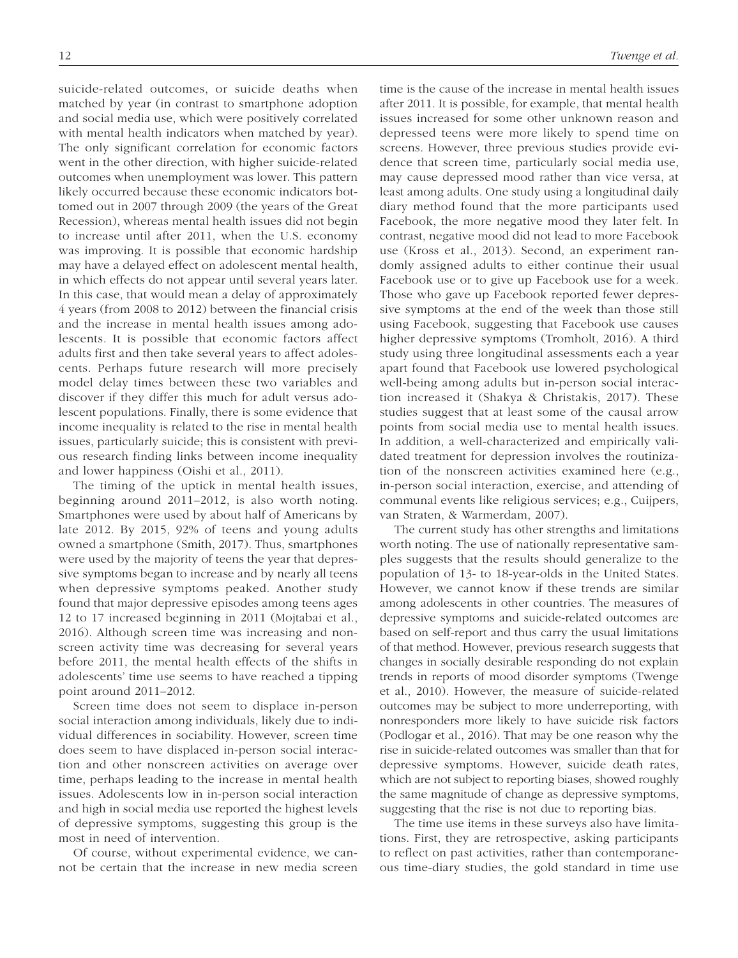suicide-related outcomes, or suicide deaths when matched by year (in contrast to smartphone adoption and social media use, which were positively correlated with mental health indicators when matched by year). The only significant correlation for economic factors went in the other direction, with higher suicide-related outcomes when unemployment was lower. This pattern likely occurred because these economic indicators bottomed out in 2007 through 2009 (the years of the Great Recession), whereas mental health issues did not begin to increase until after 2011, when the U.S. economy was improving. It is possible that economic hardship may have a delayed effect on adolescent mental health, in which effects do not appear until several years later. In this case, that would mean a delay of approximately 4 years (from 2008 to 2012) between the financial crisis and the increase in mental health issues among adolescents. It is possible that economic factors affect adults first and then take several years to affect adolescents. Perhaps future research will more precisely model delay times between these two variables and discover if they differ this much for adult versus adolescent populations. Finally, there is some evidence that income inequality is related to the rise in mental health issues, particularly suicide; this is consistent with previous research finding links between income inequality and lower happiness (Oishi et al., 2011).

The timing of the uptick in mental health issues, beginning around 2011–2012, is also worth noting. Smartphones were used by about half of Americans by late 2012. By 2015, 92% of teens and young adults owned a smartphone (Smith, 2017). Thus, smartphones were used by the majority of teens the year that depressive symptoms began to increase and by nearly all teens when depressive symptoms peaked. Another study found that major depressive episodes among teens ages 12 to 17 increased beginning in 2011 (Mojtabai et al., 2016). Although screen time was increasing and nonscreen activity time was decreasing for several years before 2011, the mental health effects of the shifts in adolescents' time use seems to have reached a tipping point around 2011–2012.

Screen time does not seem to displace in-person social interaction among individuals, likely due to individual differences in sociability. However, screen time does seem to have displaced in-person social interaction and other nonscreen activities on average over time, perhaps leading to the increase in mental health issues. Adolescents low in in-person social interaction and high in social media use reported the highest levels of depressive symptoms, suggesting this group is the most in need of intervention.

Of course, without experimental evidence, we cannot be certain that the increase in new media screen

time is the cause of the increase in mental health issues after 2011. It is possible, for example, that mental health issues increased for some other unknown reason and depressed teens were more likely to spend time on screens. However, three previous studies provide evidence that screen time, particularly social media use, may cause depressed mood rather than vice versa, at least among adults. One study using a longitudinal daily diary method found that the more participants used Facebook, the more negative mood they later felt. In contrast, negative mood did not lead to more Facebook use (Kross et al., 2013). Second, an experiment randomly assigned adults to either continue their usual Facebook use or to give up Facebook use for a week. Those who gave up Facebook reported fewer depressive symptoms at the end of the week than those still using Facebook, suggesting that Facebook use causes higher depressive symptoms (Tromholt, 2016). A third study using three longitudinal assessments each a year apart found that Facebook use lowered psychological well-being among adults but in-person social interaction increased it (Shakya & Christakis, 2017). These studies suggest that at least some of the causal arrow points from social media use to mental health issues. In addition, a well-characterized and empirically validated treatment for depression involves the routinization of the nonscreen activities examined here (e.g., in-person social interaction, exercise, and attending of communal events like religious services; e.g., Cuijpers, van Straten, & Warmerdam, 2007).

The current study has other strengths and limitations worth noting. The use of nationally representative samples suggests that the results should generalize to the population of 13- to 18-year-olds in the United States. However, we cannot know if these trends are similar among adolescents in other countries. The measures of depressive symptoms and suicide-related outcomes are based on self-report and thus carry the usual limitations of that method. However, previous research suggests that changes in socially desirable responding do not explain trends in reports of mood disorder symptoms (Twenge et al., 2010). However, the measure of suicide-related outcomes may be subject to more underreporting, with nonresponders more likely to have suicide risk factors (Podlogar et al., 2016). That may be one reason why the rise in suicide-related outcomes was smaller than that for depressive symptoms. However, suicide death rates, which are not subject to reporting biases, showed roughly the same magnitude of change as depressive symptoms, suggesting that the rise is not due to reporting bias.

The time use items in these surveys also have limitations. First, they are retrospective, asking participants to reflect on past activities, rather than contemporaneous time-diary studies, the gold standard in time use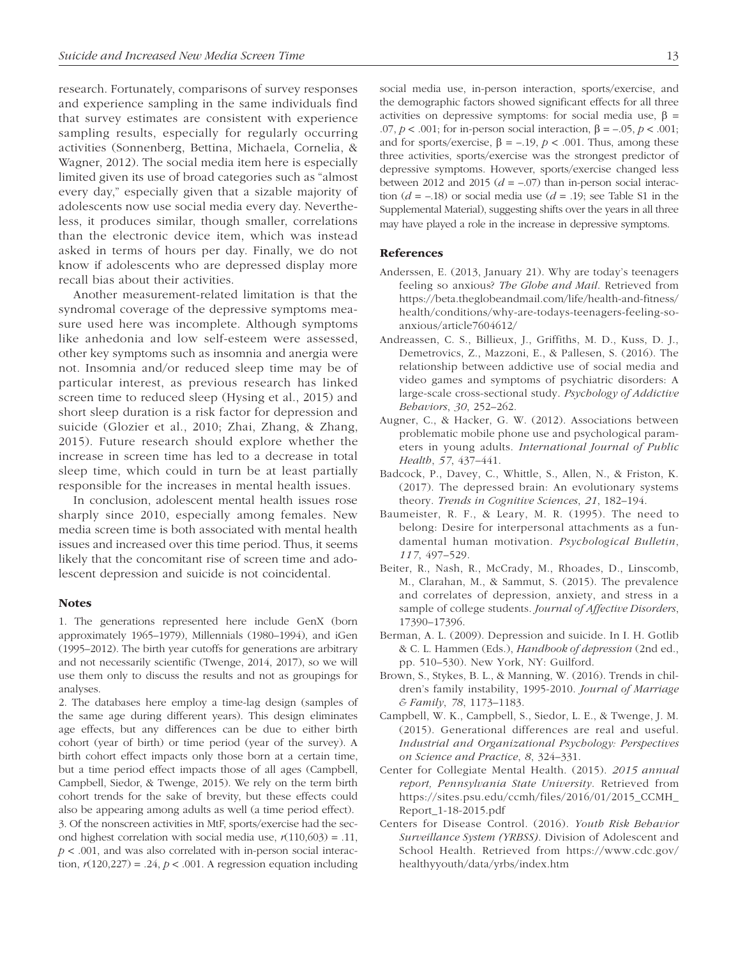research. Fortunately, comparisons of survey responses and experience sampling in the same individuals find that survey estimates are consistent with experience sampling results, especially for regularly occurring activities (Sonnenberg, Bettina, Michaela, Cornelia, & Wagner, 2012). The social media item here is especially limited given its use of broad categories such as "almost every day," especially given that a sizable majority of adolescents now use social media every day. Nevertheless, it produces similar, though smaller, correlations than the electronic device item, which was instead asked in terms of hours per day. Finally, we do not know if adolescents who are depressed display more recall bias about their activities.

Another measurement-related limitation is that the syndromal coverage of the depressive symptoms measure used here was incomplete. Although symptoms like anhedonia and low self-esteem were assessed, other key symptoms such as insomnia and anergia were not. Insomnia and/or reduced sleep time may be of particular interest, as previous research has linked screen time to reduced sleep (Hysing et al., 2015) and short sleep duration is a risk factor for depression and suicide (Glozier et al., 2010; Zhai, Zhang, & Zhang, 2015). Future research should explore whether the increase in screen time has led to a decrease in total sleep time, which could in turn be at least partially responsible for the increases in mental health issues.

In conclusion, adolescent mental health issues rose sharply since 2010, especially among females. New media screen time is both associated with mental health issues and increased over this time period. Thus, it seems likely that the concomitant rise of screen time and adolescent depression and suicide is not coincidental.

#### **Notes**

1. The generations represented here include GenX (born approximately 1965–1979), Millennials (1980–1994), and iGen (1995–2012). The birth year cutoffs for generations are arbitrary and not necessarily scientific (Twenge, 2014, 2017), so we will use them only to discuss the results and not as groupings for analyses.

2. The databases here employ a time-lag design (samples of the same age during different years). This design eliminates age effects, but any differences can be due to either birth cohort (year of birth) or time period (year of the survey). A birth cohort effect impacts only those born at a certain time, but a time period effect impacts those of all ages (Campbell, Campbell, Siedor, & Twenge, 2015). We rely on the term birth cohort trends for the sake of brevity, but these effects could also be appearing among adults as well (a time period effect). 3. Of the nonscreen activities in MtF, sports/exercise had the second highest correlation with social media use,  $r(110,603) = .11$ , *p* < .001, and was also correlated with in-person social interaction,  $r(120,227) = .24$ ,  $p < .001$ . A regression equation including

social media use, in-person interaction, sports/exercise, and the demographic factors showed significant effects for all three activities on depressive symptoms: for social media use,  $\beta$  = .07,  $p < .001$ ; for in-person social interaction,  $\beta = -.05$ ,  $p < .001$ ; and for sports/exercise,  $β = -.19$ ,  $p < .001$ . Thus, among these three activities, sports/exercise was the strongest predictor of depressive symptoms. However, sports/exercise changed less between 2012 and 2015  $(d = -.07)$  than in-person social interaction  $(d = -18)$  or social media use  $(d = 0.19)$ ; see Table S1 in the [Supplemental Material\)](http://journals.sagepub.com/doi/suppl/10.1177/2167702617723376), suggesting shifts over the years in all three may have played a role in the increase in depressive symptoms.

#### References

- Anderssen, E. (2013, January 21). Why are today's teenagers feeling so anxious? *The Globe and Mail*. Retrieved from [https://beta.theglobeandmail.com/life/health-and-fitness/](https://beta.theglobeandmail.com/life/health-and-fitness/health/conditions/why-are-todays-teenagers-feeling-so-anxious/article7604612/) [health/conditions/why-are-todays-teenagers-feeling-so](https://beta.theglobeandmail.com/life/health-and-fitness/health/conditions/why-are-todays-teenagers-feeling-so-anxious/article7604612/)[anxious/article7604612/](https://beta.theglobeandmail.com/life/health-and-fitness/health/conditions/why-are-todays-teenagers-feeling-so-anxious/article7604612/)
- Andreassen, C. S., Billieux, J., Griffiths, M. D., Kuss, D. J., Demetrovics, Z., Mazzoni, E., & Pallesen, S. (2016). The relationship between addictive use of social media and video games and symptoms of psychiatric disorders: A large-scale cross-sectional study. *Psychology of Addictive Behaviors*, *30*, 252–262.
- Augner, C., & Hacker, G. W. (2012). Associations between problematic mobile phone use and psychological parameters in young adults. *International Journal of Public Health*, *57*, 437–441.
- Badcock, P., Davey, C., Whittle, S., Allen, N., & Friston, K. (2017). The depressed brain: An evolutionary systems theory. *Trends in Cognitive Sciences*, *21*, 182–194.
- Baumeister, R. F., & Leary, M. R. (1995). The need to belong: Desire for interpersonal attachments as a fundamental human motivation. *Psychological Bulletin*, *117*, 497–529.
- Beiter, R., Nash, R., McCrady, M., Rhoades, D., Linscomb, M., Clarahan, M., & Sammut, S. (2015). The prevalence and correlates of depression, anxiety, and stress in a sample of college students. *Journal of Affective Disorders*, 17390–17396.
- Berman, A. L. (2009). Depression and suicide. In I. H. Gotlib & C. L. Hammen (Eds.), *Handbook of depression* (2nd ed., pp. 510–530). New York, NY: Guilford.
- Brown, S., Stykes, B. L., & Manning, W. (2016). Trends in children's family instability, 1995-2010. *Journal of Marriage & Family*, *78*, 1173–1183.
- Campbell, W. K., Campbell, S., Siedor, L. E., & Twenge, J. M. (2015). Generational differences are real and useful. *Industrial and Organizational Psychology: Perspectives on Science and Practice*, *8*, 324–331.
- Center for Collegiate Mental Health. (2015). *2015 annual report, Pennsylvania State University*. Retrieved from [https://sites.psu.edu/ccmh/files/2016/01/2015\\_CCMH\\_](https://sites.psu.edu/ccmh/files/2016/01/2015_CCMH_Report_1-18-2015.pdf) [Report\\_1-18-2015.pdf](https://sites.psu.edu/ccmh/files/2016/01/2015_CCMH_Report_1-18-2015.pdf)
- Centers for Disease Control. (2016). *Youth Risk Behavior Surveillance System (YRBSS)*. Division of Adolescent and School Health. Retrieved from [https://www.cdc.gov/](https://www.cdc.gov/healthyyouth/data/yrbs/index.htm) [healthyyouth/data/yrbs/index.htm](https://www.cdc.gov/healthyyouth/data/yrbs/index.htm)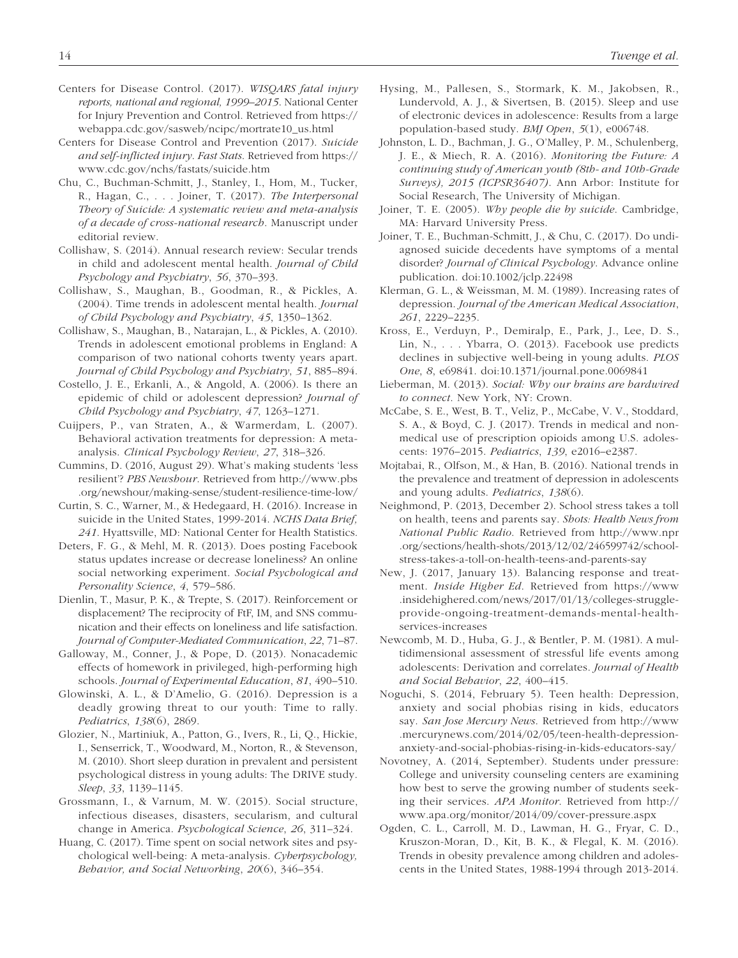- Centers for Disease Control. (2017). *WISQARS fatal injury reports, national and regional, 1999–2015*. National Center for Injury Prevention and Control. Retrieved from [https://](https://webappa.cdc.gov/sasweb/ncipc/mortrate10_us.html) [webappa.cdc.gov/sasweb/ncipc/mortrate10\\_us.html](https://webappa.cdc.gov/sasweb/ncipc/mortrate10_us.html)
- Centers for Disease Control and Prevention (2017). *Suicide and self-inflicted injury*. *Fast Stats*. Retrieved from [https://](https://www.cdc.gov/nchs/fastats/suicide.htm) [www.cdc.gov/nchs/fastats/suicide.htm](https://www.cdc.gov/nchs/fastats/suicide.htm)
- Chu, C., Buchman-Schmitt, J., Stanley, I., Hom, M., Tucker, R., Hagan, C., . . . Joiner, T. (2017). *The Interpersonal Theory of Suicide: A systematic review and meta-analysis of a decade of cross-national research*. Manuscript under editorial review.
- Collishaw, S. (2014). Annual research review: Secular trends in child and adolescent mental health. *Journal of Child Psychology and Psychiatry*, *56*, 370–393.
- Collishaw, S., Maughan, B., Goodman, R., & Pickles, A. (2004). Time trends in adolescent mental health. *Journal of Child Psychology and Psychiatry*, *45*, 1350–1362.
- Collishaw, S., Maughan, B., Natarajan, L., & Pickles, A. (2010). Trends in adolescent emotional problems in England: A comparison of two national cohorts twenty years apart. *Journal of Child Psychology and Psychiatry*, *51*, 885–894.
- Costello, J. E., Erkanli, A., & Angold, A. (2006). Is there an epidemic of child or adolescent depression? *Journal of Child Psychology and Psychiatry*, *47*, 1263–1271.
- Cuijpers, P., van Straten, A., & Warmerdam, L. (2007). Behavioral activation treatments for depression: A metaanalysis. *Clinical Psychology Review*, *27*, 318–326.
- Cummins, D. (2016, August 29). What's making students 'less resilient'? *PBS Newshour*. Retrieved from [http://www.pbs](http://www.pbs.org/newshour/making-sense/student-resilience-time-low/) [.org/newshour/making-sense/student-resilience-time-low/](http://www.pbs.org/newshour/making-sense/student-resilience-time-low/)
- Curtin, S. C., Warner, M., & Hedegaard, H. (2016). Increase in suicide in the United States, 1999-2014. *NCHS Data Brief, 241*. Hyattsville, MD: National Center for Health Statistics.
- Deters, F. G., & Mehl, M. R. (2013). Does posting Facebook status updates increase or decrease loneliness? An online social networking experiment. *Social Psychological and Personality Science*, *4*, 579–586.
- Dienlin, T., Masur, P. K., & Trepte, S. (2017). Reinforcement or displacement? The reciprocity of FtF, IM, and SNS communication and their effects on loneliness and life satisfaction. *Journal of Computer-Mediated Communication*, *22*, 71–87.
- Galloway, M., Conner, J., & Pope, D. (2013). Nonacademic effects of homework in privileged, high-performing high schools. *Journal of Experimental Education*, *81*, 490–510.
- Glowinski, A. L., & D'Amelio, G. (2016). Depression is a deadly growing threat to our youth: Time to rally. *Pediatrics*, *138*(6), 2869.
- Glozier, N., Martiniuk, A., Patton, G., Ivers, R., Li, Q., Hickie, I., Senserrick, T., Woodward, M., Norton, R., & Stevenson, M. (2010). Short sleep duration in prevalent and persistent psychological distress in young adults: The DRIVE study. *Sleep*, *33*, 1139–1145.
- Grossmann, I., & Varnum, M. W. (2015). Social structure, infectious diseases, disasters, secularism, and cultural change in America. *Psychological Science*, *26*, 311–324.
- Huang, C. (2017). Time spent on social network sites and psychological well-being: A meta-analysis. *Cyberpsychology, Behavior, and Social Networking*, *20*(6), 346–354.
- Hysing, M., Pallesen, S., Stormark, K. M., Jakobsen, R., Lundervold, A. J., & Sivertsen, B. (2015). Sleep and use of electronic devices in adolescence: Results from a large population-based study. *BMJ Open*, *5*(1), e006748.
- Johnston, L. D., Bachman, J. G., O'Malley, P. M., Schulenberg, J. E., & Miech, R. A. (2016). *Monitoring the Future: A continuing study of American youth (8th- and 10th-Grade Surveys), 2015 (ICPSR36407)*. Ann Arbor: Institute for Social Research, The University of Michigan.
- Joiner, T. E. (2005). *Why people die by suicide*. Cambridge, MA: Harvard University Press.
- Joiner, T. E., Buchman-Schmitt, J., & Chu, C. (2017). Do undiagnosed suicide decedents have symptoms of a mental disorder? *Journal of Clinical Psychology*. Advance online publication. doi:10.1002/jclp.22498
- Klerman, G. L., & Weissman, M. M. (1989). Increasing rates of depression. *Journal of the American Medical Association*, *261*, 2229–2235.
- Kross, E., Verduyn, P., Demiralp, E., Park, J., Lee, D. S., Lin, N., . . . Ybarra, O. (2013). Facebook use predicts declines in subjective well-being in young adults. *PLOS One*, *8*, e69841. doi:10.1371/journal.pone.0069841
- Lieberman, M. (2013). *Social: Why our brains are hardwired to connect*. New York, NY: Crown.
- McCabe, S. E., West, B. T., Veliz, P., McCabe, V. V., Stoddard, S. A., & Boyd, C. J. (2017). Trends in medical and nonmedical use of prescription opioids among U.S. adolescents: 1976–2015. *Pediatrics*, *139*, e2016–e2387.
- Mojtabai, R., Olfson, M., & Han, B. (2016). National trends in the prevalence and treatment of depression in adolescents and young adults. *Pediatrics*, *138*(6).
- Neighmond, P. (2013, December 2). School stress takes a toll on health, teens and parents say. *Shots: Health News from National Public Radio*. Retrieved from [http://www.npr](http://www.npr.org/sections/health-shots/2013/12/02/246599742/school-stress-takes-a-toll-on-health-teens-and-parents-say) [.org/sections/health-shots/2013/12/02/246599742/school](http://www.npr.org/sections/health-shots/2013/12/02/246599742/school-stress-takes-a-toll-on-health-teens-and-parents-say)[stress-takes-a-toll-on-health-teens-and-parents-say](http://www.npr.org/sections/health-shots/2013/12/02/246599742/school-stress-takes-a-toll-on-health-teens-and-parents-say)
- New, J. (2017, January 13). Balancing response and treatment. *Inside Higher Ed*. Retrieved from [https://www](https://www.insidehighered.com/news/2017/01/13/colleges-struggle-provide-ongoing-treatment-demands-mental-health-services-increases) [.insidehighered.com/news/2017/01/13/colleges-struggle](https://www.insidehighered.com/news/2017/01/13/colleges-struggle-provide-ongoing-treatment-demands-mental-health-services-increases)[provide-ongoing-treatment-demands-mental-health](https://www.insidehighered.com/news/2017/01/13/colleges-struggle-provide-ongoing-treatment-demands-mental-health-services-increases)[services-increases](https://www.insidehighered.com/news/2017/01/13/colleges-struggle-provide-ongoing-treatment-demands-mental-health-services-increases)
- Newcomb, M. D., Huba, G. J., & Bentler, P. M. (1981). A multidimensional assessment of stressful life events among adolescents: Derivation and correlates. *Journal of Health and Social Behavior*, *22*, 400–415.
- Noguchi, S. (2014, February 5). Teen health: Depression, anxiety and social phobias rising in kids, educators say. *San Jose Mercury News*. Retrieved from [http://www](http://www.mercurynews.com/2014/02/05/teen-health-depression-anxiety-and-social-phobias-rising-in-kids-educators-say/) [.mercurynews.com/2014/02/05/teen-health-depression](http://www.mercurynews.com/2014/02/05/teen-health-depression-anxiety-and-social-phobias-rising-in-kids-educators-say/)[anxiety-and-social-phobias-rising-in-kids-educators-say/](http://www.mercurynews.com/2014/02/05/teen-health-depression-anxiety-and-social-phobias-rising-in-kids-educators-say/)
- Novotney, A. (2014, September). Students under pressure: College and university counseling centers are examining how best to serve the growing number of students seeking their services. *APA Monitor*. Retrieved from [http://](http://www.apa.org/monitor/2014/09/cover-pressure.aspx) [www.apa.org/monitor/2014/09/cover-pressure.aspx](http://www.apa.org/monitor/2014/09/cover-pressure.aspx)
- Ogden, C. L., Carroll, M. D., Lawman, H. G., Fryar, C. D., Kruszon-Moran, D., Kit, B. K., & Flegal, K. M. (2016). Trends in obesity prevalence among children and adolescents in the United States, 1988-1994 through 2013-2014.